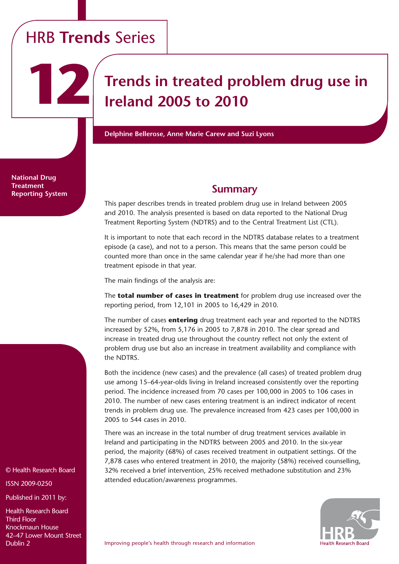# HRB **Trends** Series

**12**

**Trends in treated problem drug use in Ireland 2005 to 2010**

**Delphine Bellerose, Anne Marie Carew and Suzi Lyons**

**National Drug Treatment Reporting System**

# **Summary**

This paper describes trends in treated problem drug use in Ireland between 2005 and 2010. The analysis presented is based on data reported to the National Drug Treatment Reporting System (NDTRS) and to the Central Treatment List (CTL).

It is important to note that each record in the NDTRS database relates to a treatment episode (a case), and not to a person. This means that the same person could be counted more than once in the same calendar year if he/she had more than one treatment episode in that year.

The main findings of the analysis are:

The **total number of cases in treatment** for problem drug use increased over the reporting period, from 12,101 in 2005 to 16,429 in 2010.

The number of cases **entering** drug treatment each year and reported to the NDTRS increased by 52%, from 5,176 in 2005 to 7,878 in 2010. The clear spread and increase in treated drug use throughout the country reflect not only the extent of problem drug use but also an increase in treatment availability and compliance with the NDTRS.

Both the incidence (new cases) and the prevalence (all cases) of treated problem drug use among 15–64-year-olds living in Ireland increased consistently over the reporting period. The incidence increased from 70 cases per 100,000 in 2005 to 106 cases in 2010. The number of new cases entering treatment is an indirect indicator of recent trends in problem drug use. The prevalence increased from 423 cases per 100,000 in 2005 to 544 cases in 2010.

There was an increase in the total number of drug treatment services available in Ireland and participating in the NDTRS between 2005 and 2010. In the six-year period, the majority (68%) of cases received treatment in outpatient settings. Of the 7,878 cases who entered treatment in 2010, the majority (58%) received counselling, 32% received a brief intervention, 25% received methadone substitution and 23% attended education/awareness programmes.



© Health Research Board

ISSN 2009-0250

Published in 2011 by:

Health Research Board Third Floor Knockmaun House 42–47 Lower Mount Street Dublin 2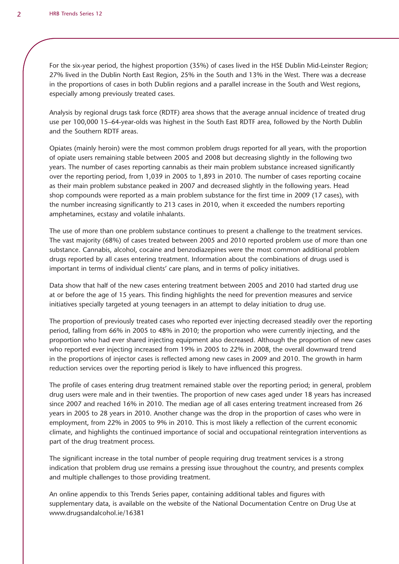For the six-year period, the highest proportion (35%) of cases lived in the HSE Dublin Mid-Leinster Region; 27% lived in the Dublin North East Region, 25% in the South and 13% in the West. There was a decrease in the proportions of cases in both Dublin regions and a parallel increase in the South and West regions, especially among previously treated cases.

Analysis by regional drugs task force (RDTF) area shows that the average annual incidence of treated drug use per 100,000 15–64-year-olds was highest in the South East RDTF area, followed by the North Dublin and the Southern RDTF areas.

Opiates (mainly heroin) were the most common problem drugs reported for all years, with the proportion of opiate users remaining stable between 2005 and 2008 but decreasing slightly in the following two years. The number of cases reporting cannabis as their main problem substance increased significantly over the reporting period, from 1,039 in 2005 to 1,893 in 2010. The number of cases reporting cocaine as their main problem substance peaked in 2007 and decreased slightly in the following years. Head shop compounds were reported as a main problem substance for the first time in 2009 (17 cases), with the number increasing significantly to 213 cases in 2010, when it exceeded the numbers reporting amphetamines, ecstasy and volatile inhalants.

The use of more than one problem substance continues to present a challenge to the treatment services. The vast majority (68%) of cases treated between 2005 and 2010 reported problem use of more than one substance. Cannabis, alcohol, cocaine and benzodiazepines were the most common additional problem drugs reported by all cases entering treatment. Information about the combinations of drugs used is important in terms of individual clients' care plans, and in terms of policy initiatives.

Data show that half of the new cases entering treatment between 2005 and 2010 had started drug use at or before the age of 15 years. This finding highlights the need for prevention measures and service initiatives specially targeted at young teenagers in an attempt to delay initiation to drug use.

The proportion of previously treated cases who reported ever injecting decreased steadily over the reporting period, falling from 66% in 2005 to 48% in 2010; the proportion who were currently injecting, and the proportion who had ever shared injecting equipment also decreased. Although the proportion of new cases who reported ever injecting increased from 19% in 2005 to 22% in 2008, the overall downward trend in the proportions of injector cases is reflected among new cases in 2009 and 2010. The growth in harm reduction services over the reporting period is likely to have influenced this progress.

The profile of cases entering drug treatment remained stable over the reporting period; in general, problem drug users were male and in their twenties. The proportion of new cases aged under 18 years has increased since 2007 and reached 16% in 2010. The median age of all cases entering treatment increased from 26 years in 2005 to 28 years in 2010. Another change was the drop in the proportion of cases who were in employment, from 22% in 2005 to 9% in 2010. This is most likely a reflection of the current economic climate, and highlights the continued importance of social and occupational reintegration interventions as part of the drug treatment process.

The significant increase in the total number of people requiring drug treatment services is a strong indication that problem drug use remains a pressing issue throughout the country, and presents complex and multiple challenges to those providing treatment.

An online appendix to this Trends Series paper, containing additional tables and figures with supplementary data, is available on the website of the National Documentation Centre on Drug Use at www.drugsandalcohol.ie/16381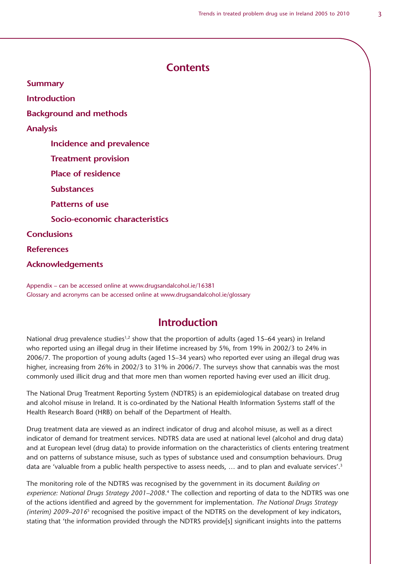### **Contents**

**Summary**

**Introduction**

**Background and methods**

**Analysis** 

 **Incidence and prevalence**

 **Treatment provision**

 **Place of residence**

 **Substances**

 **Patterns of use**

 **Socio-economic characteristics**

**Conclusions**

**References**

**Acknowledgements**

Appendix – can be accessed online at www.drugsandalcohol.ie/16381 Glossary and acronyms can be accessed online at www.drugsandalcohol.ie/glossary

### **Introduction**

National drug prevalence studies<sup>1,2</sup> show that the proportion of adults (aged 15–64 years) in Ireland who reported using an illegal drug in their lifetime increased by 5%, from 19% in 2002/3 to 24% in 2006/7. The proportion of young adults (aged 15–34 years) who reported ever using an illegal drug was higher, increasing from 26% in 2002/3 to 31% in 2006/7. The surveys show that cannabis was the most commonly used illicit drug and that more men than women reported having ever used an illicit drug.

The National Drug Treatment Reporting System (NDTRS) is an epidemiological database on treated drug and alcohol misuse in Ireland. It is co-ordinated by the National Health Information Systems staff of the Health Research Board (HRB) on behalf of the Department of Health.

Drug treatment data are viewed as an indirect indicator of drug and alcohol misuse, as well as a direct indicator of demand for treatment services. NDTRS data are used at national level (alcohol and drug data) and at European level (drug data) to provide information on the characteristics of clients entering treatment and on patterns of substance misuse, such as types of substance used and consumption behaviours. Drug data are 'valuable from a public health perspective to assess needs, ... and to plan and evaluate services'.<sup>3</sup>

The monitoring role of the NDTRS was recognised by the government in its document *Building on experience: National Drugs Strategy 2001–2008*. 4 The collection and reporting of data to the NDTRS was one of the actions identified and agreed by the government for implementation. *The National Drugs Strategy (interim) 2009–2016*5 recognised the positive impact of the NDTRS on the development of key indicators, stating that 'the information provided through the NDTRS provide[s] significant insights into the patterns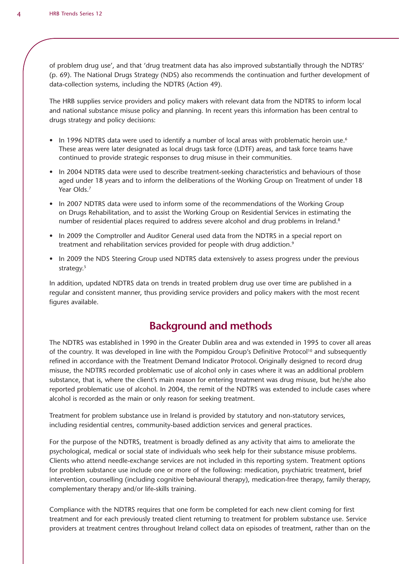of problem drug use', and that 'drug treatment data has also improved substantially through the NDTRS' (p. 69). The National Drugs Strategy (NDS) also recommends the continuation and further development of data-collection systems, including the NDTRS (Action 49).

The HRB supplies service providers and policy makers with relevant data from the NDTRS to inform local and national substance misuse policy and planning. In recent years this information has been central to drugs strategy and policy decisions:

- In 1996 NDTRS data were used to identify a number of local areas with problematic heroin use.<sup>6</sup> These areas were later designated as local drugs task force (LDTF) areas, and task force teams have continued to provide strategic responses to drug misuse in their communities.
- In 2004 NDTRS data were used to describe treatment-seeking characteristics and behaviours of those aged under 18 years and to inform the deliberations of the Working Group on Treatment of under 18 Year Olds.<sup>7</sup>
- In 2007 NDTRS data were used to inform some of the recommendations of the Working Group on Drugs Rehabilitation, and to assist the Working Group on Residential Services in estimating the number of residential places required to address severe alcohol and drug problems in Ireland.<sup>8</sup>
- In 2009 the Comptroller and Auditor General used data from the NDTRS in a special report on treatment and rehabilitation services provided for people with drug addiction.<sup>9</sup>
- In 2009 the NDS Steering Group used NDTRS data extensively to assess progress under the previous strategy.<sup>5</sup>

In addition, updated NDTRS data on trends in treated problem drug use over time are published in a regular and consistent manner, thus providing service providers and policy makers with the most recent figures available.

# **Background and methods**

The NDTRS was established in 1990 in the Greater Dublin area and was extended in 1995 to cover all areas of the country. It was developed in line with the Pompidou Group's Definitive Protocol<sup>10</sup> and subsequently refined in accordance with the Treatment Demand Indicator Protocol. Originally designed to record drug misuse, the NDTRS recorded problematic use of alcohol only in cases where it was an additional problem substance, that is, where the client's main reason for entering treatment was drug misuse, but he/she also reported problematic use of alcohol. In 2004, the remit of the NDTRS was extended to include cases where alcohol is recorded as the main or only reason for seeking treatment.

Treatment for problem substance use in Ireland is provided by statutory and non-statutory services, including residential centres, community-based addiction services and general practices.

For the purpose of the NDTRS, treatment is broadly defined as any activity that aims to ameliorate the psychological, medical or social state of individuals who seek help for their substance misuse problems. Clients who attend needle-exchange services are not included in this reporting system. Treatment options for problem substance use include one or more of the following: medication, psychiatric treatment, brief intervention, counselling (including cognitive behavioural therapy), medication-free therapy, family therapy, complementary therapy and/or life-skills training.

Compliance with the NDTRS requires that one form be completed for each new client coming for first treatment and for each previously treated client returning to treatment for problem substance use. Service providers at treatment centres throughout Ireland collect data on episodes of treatment, rather than on the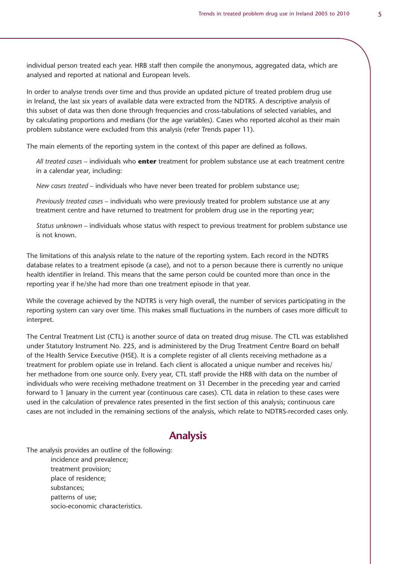individual person treated each year. HRB staff then compile the anonymous, aggregated data, which are analysed and reported at national and European levels.

In order to analyse trends over time and thus provide an updated picture of treated problem drug use in Ireland, the last six years of available data were extracted from the NDTRS. A descriptive analysis of this subset of data was then done through frequencies and cross-tabulations of selected variables, and by calculating proportions and medians (for the age variables). Cases who reported alcohol as their main problem substance were excluded from this analysis (refer Trends paper 11).

The main elements of the reporting system in the context of this paper are defined as follows.

*All treated cases* – individuals who **enter** treatment for problem substance use at each treatment centre in a calendar year, including:

*New cases treated* – individuals who have never been treated for problem substance use;

*Previously treated cases* – individuals who were previously treated for problem substance use at any treatment centre and have returned to treatment for problem drug use in the reporting year;

*Status unknown* – individuals whose status with respect to previous treatment for problem substance use is not known.

The limitations of this analysis relate to the nature of the reporting system. Each record in the NDTRS database relates to a treatment episode (a case), and not to a person because there is currently no unique health identifier in Ireland. This means that the same person could be counted more than once in the reporting year if he/she had more than one treatment episode in that year.

While the coverage achieved by the NDTRS is very high overall, the number of services participating in the reporting system can vary over time. This makes small fluctuations in the numbers of cases more difficult to interpret.

The Central Treatment List (CTL) is another source of data on treated drug misuse. The CTL was established under Statutory Instrument No. 225, and is administered by the Drug Treatment Centre Board on behalf of the Health Service Executive (HSE). It is a complete register of all clients receiving methadone as a treatment for problem opiate use in Ireland. Each client is allocated a unique number and receives his/ her methadone from one source only. Every year, CTL staff provide the HRB with data on the number of individuals who were receiving methadone treatment on 31 December in the preceding year and carried forward to 1 January in the current year (continuous care cases). CTL data in relation to these cases were used in the calculation of prevalence rates presented in the first section of this analysis; continuous care cases are not included in the remaining sections of the analysis, which relate to NDTRS-recorded cases only.

# **Analysis**

The analysis provides an outline of the following:

 incidence and prevalence; treatment provision; place of residence; substances; patterns of use; socio-economic characteristics.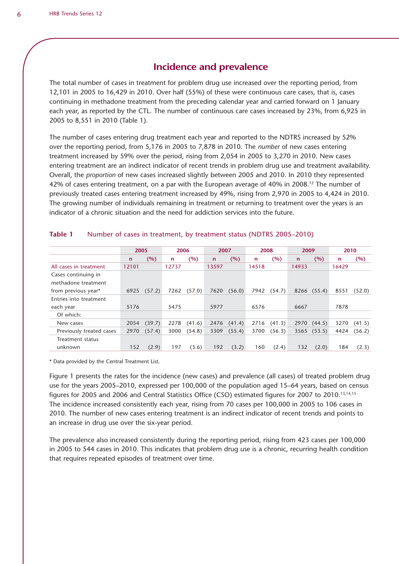### **Incidence and prevalence**

The total number of cases in treatment for problem drug use increased over the reporting period, from 12,101 in 2005 to 16,429 in 2010. Over half (55%) of these were continuous care cases, that is, cases continuing in methadone treatment from the preceding calendar year and carried forward on 1 January each year, as reported by the CTL. The number of continuous care cases increased by 23%, from 6,925 in 2005 to 8,551 in 2010 (Table 1).

The number of cases entering drug treatment each year and reported to the NDTRS increased by 52% over the reporting period, from 5,176 in 2005 to 7,878 in 2010. The *number* of new cases entering treatment increased by 59% over the period, rising from 2,054 in 2005 to 3,270 in 2010. New cases entering treatment are an indirect indicator of recent trends in problem drug use and treatment availability. Overall, the *proportion* of new cases increased slightly between 2005 and 2010. In 2010 they represented 42% of cases entering treatment, on a par with the European average of 40% in 2008.12 The number of previously treated cases entering treatment increased by 49%, rising from 2,970 in 2005 to 4,424 in 2010. The growing number of individuals remaining in treatment or returning to treatment over the years is an indicator of a chronic situation and the need for addiction services into the future.

|                          | 2005         |        | 2006  |        | 2007        |        | 2008  |        | 2009         |        | 2010  |        |
|--------------------------|--------------|--------|-------|--------|-------------|--------|-------|--------|--------------|--------|-------|--------|
|                          | $\mathsf{n}$ | (%)    | n     | (%)    | $\mathbf n$ | (%)    | n     | (%)    | $\mathsf{n}$ | (%)    | n     | (%)    |
| All cases in treatment   | 12101        |        | 12737 |        | 13597       |        | 14518 |        | 14933        |        | 16429 |        |
| Cases continuing in      |              |        |       |        |             |        |       |        |              |        |       |        |
| methadone treatment      |              |        |       |        |             |        |       |        |              |        |       |        |
| from previous year*      | 6925         | (57.2) | 7262  | (57.0) | 7620        | (56.0) | 7942  | (54.7) | 8266         | (55.4) | 8551  | (52.0) |
| Entries into treatment   |              |        |       |        |             |        |       |        |              |        |       |        |
| each year                | 5176         |        | 5475  |        | 5977        |        | 6576  |        | 6667         |        | 7878  |        |
| Of which:                |              |        |       |        |             |        |       |        |              |        |       |        |
| New cases                | 2054         | (39.7) | 2278  | (41.6) | 2476        | (41.4) | 2716  | (41.3) | 2970         | (44.5) | 3270  | (41.5) |
| Previously treated cases | 2970         | (57.4) | 3000  | (54.8) | 3309        | (55.4) | 3700  | (56.3) | 3565         | (53.5) | 4424  | (56.2) |
| Treatment status         |              |        |       |        |             |        |       |        |              |        |       |        |
| unknown                  | 152          | (2.9)  | 197   | (3.6)  | 192         | (3.2)  | 160   | (2.4)  | 132          | (2.0)  | 184   | (2.3)  |

#### **Table 1** Number of cases in treatment, by treatment status (NDTRS 2005–2010)

\* Data provided by the Central Treatment List.

Figure 1 presents the rates for the incidence (new cases) and prevalence (all cases) of treated problem drug use for the years 2005–2010, expressed per 100,000 of the population aged 15–64 years, based on census figures for 2005 and 2006 and Central Statistics Office (CSO) estimated figures for 2007 to 2010.13,14,15 The incidence increased consistently each year, rising from 70 cases per 100,000 in 2005 to 106 cases in 2010. The number of new cases entering treatment is an indirect indicator of recent trends and points to an increase in drug use over the six-year period.

The prevalence also increased consistently during the reporting period, rising from 423 cases per 100,000 in 2005 to 544 cases in 2010. This indicates that problem drug use is a chronic, recurring health condition that requires repeated episodes of treatment over time.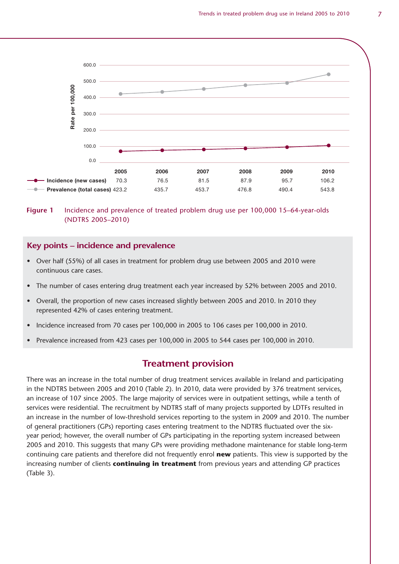

**Figure 1** Incidence and prevalence of treated problem drug use per 100,000 15–64-year-olds (NDTRS 2005–2010)

#### **Key points – incidence and prevalence**

- Over half (55%) of all cases in treatment for problem drug use between 2005 and 2010 were continuous care cases.
- The number of cases entering drug treatment each year increased by 52% between 2005 and 2010.
- Overall, the proportion of new cases increased slightly between 2005 and 2010. In 2010 they represented 42% of cases entering treatment.
- Incidence increased from 70 cases per 100,000 in 2005 to 106 cases per 100,000 in 2010.
- Prevalence increased from 423 cases per 100,000 in 2005 to 544 cases per 100,000 in 2010.

### **Treatment provision**

There was an increase in the total number of drug treatment services available in Ireland and participating in the NDTRS between 2005 and 2010 (Table 2). In 2010, data were provided by 376 treatment services, an increase of 107 since 2005. The large majority of services were in outpatient settings, while a tenth of services were residential. The recruitment by NDTRS staff of many projects supported by LDTFs resulted in an increase in the number of low-threshold services reporting to the system in 2009 and 2010. The number of general practitioners (GPs) reporting cases entering treatment to the NDTRS fluctuated over the sixyear period; however, the overall number of GPs participating in the reporting system increased between 2005 and 2010. This suggests that many GPs were providing methadone maintenance for stable long-term continuing care patients and therefore did not frequently enrol **new** patients. This view is supported by the increasing number of clients **continuing in treatment** from previous years and attending GP practices (Table 3).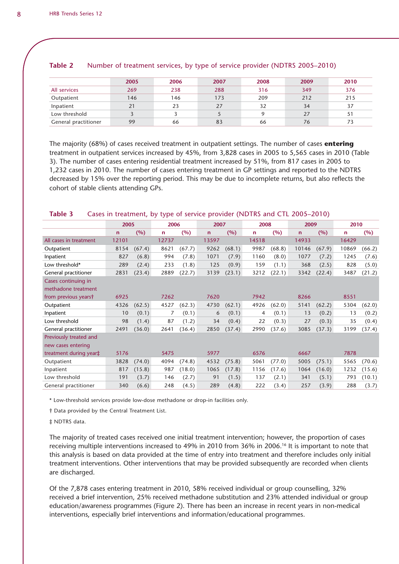|                      | 2005 | 2006 | 2007 | 2008 | 2009 | 2010 |
|----------------------|------|------|------|------|------|------|
| All services         | 269  | 238  | 288  | 316  | 349  | 376  |
| Outpatient           | 146  | 146  | 173  | 209  | 212  | 215  |
| Inpatient            | 21   | 23   | 27   | 32   | 34   | 37   |
| Low threshold        |      |      |      |      | 27   | 51   |
| General practitioner | 99   | 66   | 83   | 66   | 76   | 73   |

#### **Table 2** Number of treatment services, by type of service provider (NDTRS 2005–2010)

The majority (68%) of cases received treatment in outpatient settings. The number of cases **entering** treatment in outpatient services increased by 45%, from 3,828 cases in 2005 to 5,565 cases in 2010 (Table 3). The number of cases entering residential treatment increased by 51%, from 817 cases in 2005 to 1,232 cases in 2010. The number of cases entering treatment in GP settings and reported to the NDTRS decreased by 15% over the reporting period. This may be due to incomplete returns, but also reflects the cohort of stable clients attending GPs.

### **Table 3** Cases in treatment, by type of service provider (NDTRS and CTL 2005–2010)

|                        | 2005        |        | 2006  |        | 2007        |        | 2008        |        | 2009  |        | 2010        |        |
|------------------------|-------------|--------|-------|--------|-------------|--------|-------------|--------|-------|--------|-------------|--------|
|                        | $\mathbf n$ | (%)    | n     | (%)    | $\mathbf n$ | (%)    | $\mathbf n$ | (%)    | n     | (%)    | $\mathbf n$ | (%)    |
| All cases in treatment | 12101       |        | 12737 |        | 13597       |        | 14518       |        | 14933 |        | 16429       |        |
| Outpatient             | 8154        | (67.4) | 8621  | (67.7) | 9262        | (68.1) | 9987        | (68.8) | 10146 | (67.9) | 10869       | (66.2) |
| Inpatient              | 827         | (6.8)  | 994   | (7.8)  | 1071        | (7.9)  | 1160        | (8.0)  | 1077  | (7.2)  | 1245        | (7.6)  |
| Low threshold*         | 289         | (2.4)  | 233   | (1.8)  | 125         | (0.9)  | 159         | (1.1)  | 368   | (2.5)  | 828         | (5.0)  |
| General practitioner   | 2831        | (23.4) | 2889  | (22.7) | 3139        | (23.1) | 3212        | (22.1) | 3342  | (22.4) | 3487        | (21.2) |
| Cases continuing in    |             |        |       |        |             |        |             |        |       |        |             |        |
| methadone treatment    |             |        |       |        |             |        |             |        |       |        |             |        |
| from previous yearst   | 6925        |        | 7262  |        | 7620        |        | 7942        |        | 8266  |        | 8551        |        |
| Outpatient             | 4326        | (62.5) | 4527  | (62.3) | 4730        | (62.1) | 4926        | (62.0) | 5141  | (62.2) | 5304        | (62.0) |
| Inpatient              | 10          | (0.1)  | 7     | (0.1)  | 6           | (0.1)  | 4           | (0.1)  | 13    | (0.2)  | 13          | (0.2)  |
| Low threshold          | 98          | (1.4)  | 87    | (1.2)  | 34          | (0.4)  | 22          | (0.3)  | 27    | (0.3)  | 35          | (0.4)  |
| General practitioner   | 2491        | (36.0) | 2641  | (36.4) | 2850        | (37.4) | 2990        | (37.6) | 3085  | (37.3) | 3199        | (37.4) |
| Previously treated and |             |        |       |        |             |        |             |        |       |        |             |        |
| new cases entering     |             |        |       |        |             |        |             |        |       |        |             |        |
| treatment during year‡ | 5176        |        | 5475  |        | 5977        |        | 6576        |        | 6667  |        | 7878        |        |
| Outpatient             | 3828        | (74.0) | 4094  | (74.8) | 4532        | (75.8) | 5061        | (77.0) | 5005  | (75.1) | 5565        | (70.6) |
| Inpatient              | 817         | (15.8) | 987   | (18.0) | 1065        | (17.8) | 1156        | (17.6) | 1064  | (16.0) | 1232        | (15.6) |
| Low threshold          | 191         | (3.7)  | 146   | (2.7)  | 91          | (1.5)  | 137         | (2.1)  | 341   | (5.1)  | 793         | (10.1) |
| General practitioner   | 340         | (6.6)  | 248   | (4.5)  | 289         | (4.8)  | 222         | (3.4)  | 257   | (3.9)  | 288         | (3.7)  |

\* Low-threshold services provide low-dose methadone or drop-in facilities only.

† Data provided by the Central Treatment List.

‡ NDTRS data.

The majority of treated cases received one initial treatment intervention; however, the proportion of cases receiving multiple interventions increased to 49% in 2010 from 36% in 2006.<sup>16</sup> It is important to note that this analysis is based on data provided at the time of entry into treatment and therefore includes only initial treatment interventions. Other interventions that may be provided subsequently are recorded when clients are discharged.

Of the 7,878 cases entering treatment in 2010, 58% received individual or group counselling, 32% received a brief intervention, 25% received methadone substitution and 23% attended individual or group education/awareness programmes (Figure 2). There has been an increase in recent years in non-medical interventions, especially brief interventions and information/educational programmes.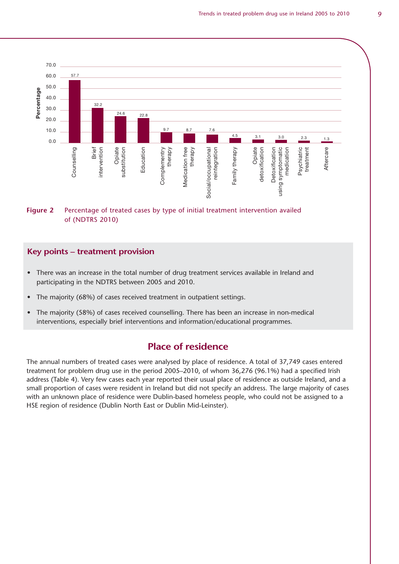

#### **Figure 2** Percentage of treated cases by type of initial treatment intervention availed of (NDTRS 2010)

#### **Key points – treatment provision**

- There was an increase in the total number of drug treatment services available in Ireland and participating in the NDTRS between 2005 and 2010.
- The majority (68%) of cases received treatment in outpatient settings.
- The majority (58%) of cases received counselling. There has been an increase in non-medical interventions, especially brief interventions and information/educational programmes.

### **Place of residence**

The annual numbers of treated cases were analysed by place of residence. A total of 37,749 cases entered treatment for problem drug use in the period 2005–2010, of whom 36,276 (96.1%) had a specified Irish address (Table 4). Very few cases each year reported their usual place of residence as outside Ireland, and a small proportion of cases were resident in Ireland but did not specify an address. The large majority of cases with an unknown place of residence were Dublin-based homeless people, who could not be assigned to a HSE region of residence (Dublin North East or Dublin Mid-Leinster).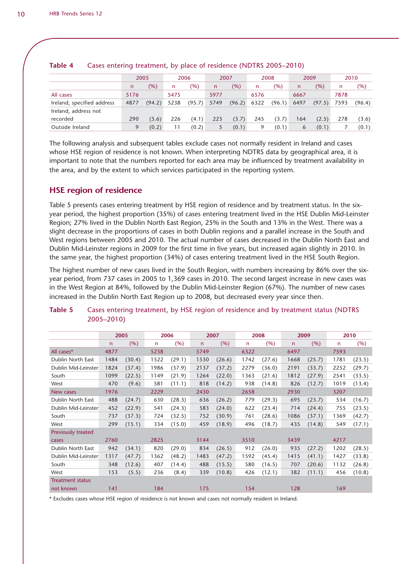|                            |      | 2005   |      | 2006   | 2007 |        |      | 2008   |      | 2009   | 2010 |        |
|----------------------------|------|--------|------|--------|------|--------|------|--------|------|--------|------|--------|
|                            | n    | (%)    | n    | $(\%)$ | n    | (%)    | n    | (%)    | n    | (%)    | n    | (%)    |
| All cases                  | 5176 |        | 5475 |        | 5977 |        | 6576 |        | 6667 |        | 7878 |        |
| Ireland, specified address | 4877 | (94.2) | 5238 | (95.7) | 5749 | (96.2) | 6322 | (96.1) | 6497 | (97.5) | 7593 | (96.4) |
| Ireland, address not       |      |        |      |        |      |        |      |        |      |        |      |        |
| recorded                   | 290  | (5.6)  | 226  | (4.1)  | 223  | (3.7)  | 245  | (3.7)  | 164  | (2.5)  | 278  | (3.6)  |
| Outside Ireland            | 9    | (0.2)  | 11   | (0.2)  |      | (0.1)  |      | (0.1)  | 6    | (0.1)  |      | (0.1)  |

#### **Table 4** Cases entering treatment, by place of residence (NDTRS 2005–2010)

The following analysis and subsequent tables exclude cases not normally resident in Ireland and cases whose HSE region of residence is not known. When interpreting NDTRS data by geographical area, it is important to note that the numbers reported for each area may be influenced by treatment availability in the area, and by the extent to which services participated in the reporting system.

### **HSE region of residence**

Table 5 presents cases entering treatment by HSE region of residence and by treatment status. In the sixyear period, the highest proportion (35%) of cases entering treatment lived in the HSE Dublin Mid-Leinster Region; 27% lived in the Dublin North East Region, 25% in the South and 13% in the West. There was a slight decrease in the proportions of cases in both Dublin regions and a parallel increase in the South and West regions between 2005 and 2010. The actual number of cases decreased in the Dublin North East and Dublin Mid-Leinster regions in 2009 for the first time in five years, but increased again slightly in 2010. In the same year, the highest proportion (34%) of cases entering treatment lived in the HSE South Region.

The highest number of new cases lived in the South Region, with numbers increasing by 86% over the sixyear period, from 737 cases in 2005 to 1,369 cases in 2010. The second largest increase in new cases was in the West Region at 84%, followed by the Dublin Mid-Leinster Region (67%). The number of new cases increased in the Dublin North East Region up to 2008, but decreased every year since then.

|                           |              | 2005   |              | 2006   |              | 2007   |      | 2008   |              | 2009   |      | 2010   |
|---------------------------|--------------|--------|--------------|--------|--------------|--------|------|--------|--------------|--------|------|--------|
|                           | $\mathsf{n}$ | (% )   | $\mathsf{n}$ | (% )   | $\mathsf{n}$ | (% )   | n    | (%)    | $\mathsf{n}$ | (% )   | n    | (% )   |
| All cases*                | 4877         |        | 5238         |        | 5749         |        | 6322 |        | 6497         |        | 7593 |        |
| Dublin North East         | 1484         | (30.4) | 1522         | (29.1) | 1530         | (26.6) | 1742 | (27.6) | 1668         | (25.7) | 1781 | (23.5) |
| Dublin Mid-Leinster       | 1824         | (37.4) | 1986         | (37.9) | 2137         | (37.2) | 2279 | (36.0) | 2191         | (33.7) | 2252 | (29.7) |
| South                     | 1099         | (22.5) | 1149         | (21.9) | 1264         | (22.0) | 1363 | (21.6) | 1812         | (27.9) | 2541 | (33.5) |
| West                      | 470          | (9.6)  | 581          | (11.1) | 818          | (14.2) | 938  | (14.8) | 826          | (12.7) | 1019 | (13.4) |
| New cases                 | 1976         |        | 2229         |        | 2430         |        | 2658 |        | 2930         |        | 3207 |        |
| Dublin North East         | 488          | (24.7) | 630          | (28.3) | 636          | (26.2) | 779  | (29.3) | 695          | (23.7) | 534  | (16.7) |
| Dublin Mid-Leinster       | 452          | (22.9) | 541          | (24.3) | 583          | (24.0) | 622  | (23.4) | 714          | (24.4) | 755  | (23.5) |
| South                     | 737          | (37.3) | 724          | (32.5) | 752          | (30.9) | 761  | (28.6) | 1086         | (37.1) | 1369 | (42.7) |
| West                      | 299          | (15.1) | 334          | (15.0) | 459          | (18.9) | 496  | (18.7) | 435          | (14.8) | 549  | (17.1) |
| <b>Previously treated</b> |              |        |              |        |              |        |      |        |              |        |      |        |
| cases                     | 2760         |        | 2825         |        | 3144         |        | 3510 |        | 3439         |        | 4217 |        |
| Dublin North East         | 942          | (34.1) | 820          | (29.0) | 834          | (26.5) | 912  | (26.0) | 935          | (27.2) | 1202 | (28.5) |
| Dublin Mid-Leinster       | 1317         | (47.7) | 1362         | (48.2) | 1483         | (47.2) | 1592 | (45.4) | 1415         | (41.1) | 1427 | (33.8) |
| South                     | 348          | (12.6) | 407          | (14.4) | 488          | (15.5) | 580  | (16.5) | 707          | (20.6) | 1132 | (26.8) |
| West                      | 153          | (5.5)  | 236          | (8.4)  | 339          | (10.8) | 426  | (12.1) | 382          | (11.1) | 456  | (10.8) |
| <b>Treatment status</b>   |              |        |              |        |              |        |      |        |              |        |      |        |
| not known                 | 141          |        | 184          |        | 175          |        | 154  |        | 128          |        | 169  |        |

#### **Table 5** Cases entering treatment, by HSE region of residence and by treatment status (NDTRS 2005–2010)

\* Excludes cases whose HSE region of residence is not known and cases not normally resident in Ireland.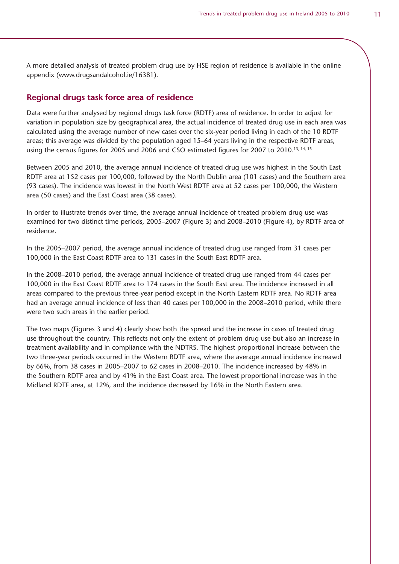A more detailed analysis of treated problem drug use by HSE region of residence is available in the online appendix (www.drugsandalcohol.ie/16381).

#### **Regional drugs task force area of residence**

Data were further analysed by regional drugs task force (RDTF) area of residence. In order to adjust for variation in population size by geographical area, the actual incidence of treated drug use in each area was calculated using the average number of new cases over the six-year period living in each of the 10 RDTF areas; this average was divided by the population aged 15–64 years living in the respective RDTF areas, using the census figures for 2005 and 2006 and CSO estimated figures for 2007 to 2010.<sup>13, 14, 15</sup>

Between 2005 and 2010, the average annual incidence of treated drug use was highest in the South East RDTF area at 152 cases per 100,000, followed by the North Dublin area (101 cases) and the Southern area (93 cases). The incidence was lowest in the North West RDTF area at 52 cases per 100,000, the Western area (50 cases) and the East Coast area (38 cases).

In order to illustrate trends over time, the average annual incidence of treated problem drug use was examined for two distinct time periods, 2005–2007 (Figure 3) and 2008–2010 (Figure 4), by RDTF area of residence.

In the 2005–2007 period, the average annual incidence of treated drug use ranged from 31 cases per 100,000 in the East Coast RDTF area to 131 cases in the South East RDTF area.

In the 2008–2010 period, the average annual incidence of treated drug use ranged from 44 cases per 100,000 in the East Coast RDTF area to 174 cases in the South East area. The incidence increased in all areas compared to the previous three-year period except in the North Eastern RDTF area. No RDTF area had an average annual incidence of less than 40 cases per 100,000 in the 2008–2010 period, while there were two such areas in the earlier period.

The two maps (Figures 3 and 4) clearly show both the spread and the increase in cases of treated drug use throughout the country. This reflects not only the extent of problem drug use but also an increase in treatment availability and in compliance with the NDTRS. The highest proportional increase between the two three-year periods occurred in the Western RDTF area, where the average annual incidence increased by 66%, from 38 cases in 2005–2007 to 62 cases in 2008–2010. The incidence increased by 48% in the Southern RDTF area and by 41% in the East Coast area. The lowest proportional increase was in the Midland RDTF area, at 12%, and the incidence decreased by 16% in the North Eastern area.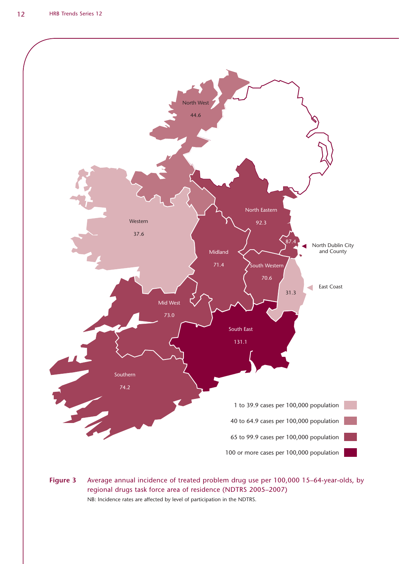

**Figure 3** Average annual incidence of treated problem drug use per 100,000 15–64-year-olds, by regional drugs task force area of residence (NDTRS 2005–2007) NB: Incidence rates are affected by level of participation in the NDTRS.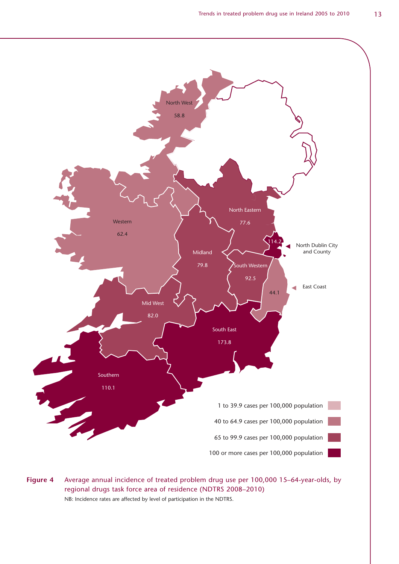![](_page_12_Figure_1.jpeg)

**Figure 4** Average annual incidence of treated problem drug use per 100,000 15–64-year-olds, by regional drugs task force area of residence (NDTRS 2008–2010) NB: Incidence rates are affected by level of participation in the NDTRS.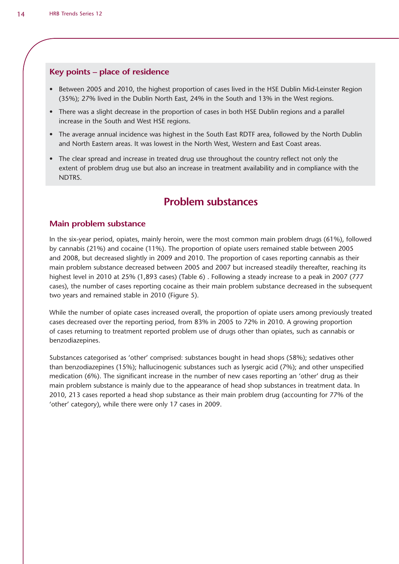#### **Key points – place of residence**

- Between 2005 and 2010, the highest proportion of cases lived in the HSE Dublin Mid-Leinster Region (35%); 27% lived in the Dublin North East, 24% in the South and 13% in the West regions.
- There was a slight decrease in the proportion of cases in both HSE Dublin regions and a parallel increase in the South and West HSE regions.
- The average annual incidence was highest in the South East RDTF area, followed by the North Dublin and North Eastern areas. It was lowest in the North West, Western and East Coast areas.
- The clear spread and increase in treated drug use throughout the country reflect not only the extent of problem drug use but also an increase in treatment availability and in compliance with the NDTRS.

## **Problem substances**

#### **Main problem substance**

In the six-year period, opiates, mainly heroin, were the most common main problem drugs (61%), followed by cannabis (21%) and cocaine (11%). The proportion of opiate users remained stable between 2005 and 2008, but decreased slightly in 2009 and 2010. The proportion of cases reporting cannabis as their main problem substance decreased between 2005 and 2007 but increased steadily thereafter, reaching its highest level in 2010 at 25% (1,893 cases) (Table 6) . Following a steady increase to a peak in 2007 (777 cases), the number of cases reporting cocaine as their main problem substance decreased in the subsequent two years and remained stable in 2010 (Figure 5).

While the number of opiate cases increased overall, the proportion of opiate users among previously treated cases decreased over the reporting period, from 83% in 2005 to 72% in 2010. A growing proportion of cases returning to treatment reported problem use of drugs other than opiates, such as cannabis or benzodiazepines.

Substances categorised as 'other' comprised: substances bought in head shops (58%); sedatives other than benzodiazepines (15%); hallucinogenic substances such as lysergic acid (7%); and other unspecified medication (6%). The significant increase in the number of new cases reporting an 'other' drug as their main problem substance is mainly due to the appearance of head shop substances in treatment data. In 2010, 213 cases reported a head shop substance as their main problem drug (accounting for 77% of the 'other' category), while there were only 17 cases in 2009.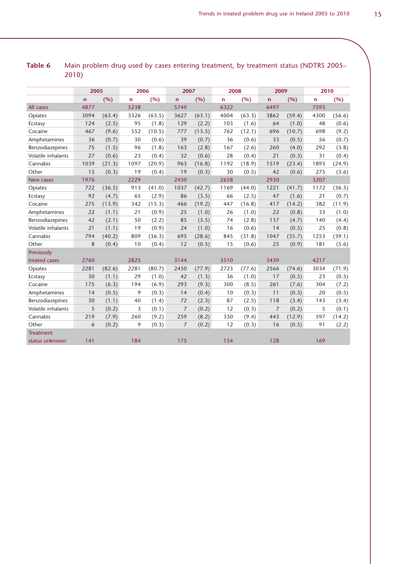|                    | 2005         |        | 2006         |        | 2007           |        | 2008 |        | 2009           |        | 2010         |        |
|--------------------|--------------|--------|--------------|--------|----------------|--------|------|--------|----------------|--------|--------------|--------|
|                    | $\mathsf{n}$ | (%)    | $\mathsf{n}$ | (%)    | $\mathsf{n}$   | (%)    | n    | (%)    | $\mathsf{n}$   | (%)    | $\mathsf{n}$ | (%)    |
| All cases          | 4877         |        | 5238         |        | 5749           |        | 6322 |        | 6497           |        | 7593         |        |
| Opiates            | 3094         | (63.4) | 3326         | (63.5) | 3627           | (63.1) | 4004 | (63.3) | 3862           | (59.4) | 4300         | (56.6) |
| Ecstasy            | 124          | (2.5)  | 95           | (1.8)  | 129            | (2.2)  | 103  | (1.6)  | 64             | (1.0)  | 48           | (0.6)  |
| Cocaine            | 467          | (9.6)  | 552          | (10.5) | 777            | (13.5) | 762  | (12.1) | 696            | (10.7) | 698          | (9.2)  |
| Amphetamines       | 36           | (0.7)  | 30           | (0.6)  | 39             | (0.7)  | 36   | (0.6)  | 33             | (0.5)  | 56           | (0.7)  |
| Benzodiazepines    | 75           | (1.5)  | 96           | (1.8)  | 163            | (2.8)  | 167  | (2.6)  | 260            | (4.0)  | 292          | (3.8)  |
| Volatile inhalants | 27           | (0.6)  | 23           | (0.4)  | 32             | (0.6)  | 28   | (0.4)  | 21             | (0.3)  | 31           | (0.4)  |
| Cannabis           | 1039         | (21.3) | 1097         | (20.9) | 963            | (16.8) | 1192 | (18.9) | 1519           | (23.4) | 1893         | (24.9) |
| Other              | 15           | (0.3)  | 19           | (0.4)  | 19             | (0.3)  | 30   | (0.5)  | 42             | (0.6)  | 275          | (3.6)  |
| <b>New cases</b>   | 1976         |        | 2229         |        | 2430           |        | 2658 |        | 2930           |        | 3207         |        |
| Opiates            | 722          | (36.5) | 913          | (41.0) | 1037           | (42.7) | 1169 | (44.0) | 1221           | (41.7) | 1172         | (36.5) |
| Ecstasy            | 92           | (4.7)  | 65           | (2.9)  | 86             | (3.5)  | 66   | (2.5)  | 47             | (1.6)  | 21           | (0.7)  |
| Cocaine            | 275          | (13.9) | 342          | (15.3) | 466            | (19.2) | 447  | (16.8) | 417            | (14.2) | 382          | (11.9) |
| Amphetamines       | 22           | (1.1)  | 21           | (0.9)  | 25             | (1.0)  | 26   | (1.0)  | 22             | (0.8)  | 33           | (1.0)  |
| Benzodiazepines    | 42           | (2.1)  | 50           | (2.2)  | 85             | (3.5)  | 74   | (2.8)  | 137            | (4.7)  | 140          | (4.4)  |
| Volatile inhalants | 21           | (1.1)  | 19           | (0.9)  | 24             | (1.0)  | 16   | (0.6)  | 14             | (0.5)  | 25           | (0.8)  |
| Cannabis           | 794          | (40.2) | 809          | (36.3) | 695            | (28.6) | 845  | (31.8) | 1047           | (35.7) | 1253         | (39.1) |
| Other              | 8            | (0.4)  | 10           | (0.4)  | 12             | (0.5)  | 15   | (0.6)  | 25             | (0.9)  | 181          | (5.6)  |
| Previously         |              |        |              |        |                |        |      |        |                |        |              |        |
| treated cases      | 2760         |        | 2825         |        | 3144           |        | 3510 |        | 3439           |        | 4217         |        |
| Opiates            | 2281         | (82.6) | 2281         | (80.7) | 2450           | (77.9) | 2723 | (77.6) | 2566           | (74.6) | 3034         | (71.9) |
| Ecstasy            | 30           | (1.1)  | 29           | (1.0)  | 42             | (1.3)  | 36   | (1.0)  | 17             | (0.5)  | 23           | (0.5)  |
| Cocaine            | 175          | (6.3)  | 194          | (6.9)  | 293            | (9.3)  | 300  | (8.5)  | 261            | (7.6)  | 304          | (7.2)  |
| Amphetamines       | 14           | (0.5)  | 9            | (0.3)  | 14             | (0.4)  | 10   | (0.3)  | 11             | (0.3)  | 20           | (0.5)  |
| Benzodiazepines    | 30           | (1.1)  | 40           | (1.4)  | 72             | (2.3)  | 87   | (2.5)  | 118            | (3.4)  | 143          | (3.4)  |
| Volatile inhalants | 5            | (0.2)  | 3            | (0.1)  | $\overline{7}$ | (0.2)  | 12   | (0.3)  | $\overline{7}$ | (0.2)  | 5            | (0.1)  |
| Cannabis           | 219          | (7.9)  | 260          | (9.2)  | 259            | (8.2)  | 330  | (9.4)  | 443            | (12.9) | 597          | (14.2) |
| Other              | 6            | (0.2)  | 9            | (0.3)  | $\overline{7}$ | (0.2)  | 12   | (0.3)  | 16             | (0.5)  | 91           | (2.2)  |
| <b>Treatment</b>   |              |        |              |        |                |        |      |        |                |        |              |        |
| status unknown     | 141          |        | 184          |        | 175            |        | 154  |        | 128            |        | 169          |        |

### **Table 6** Main problem drug used by cases entering treatment, by treatment status (NDTRS 2005– 2010)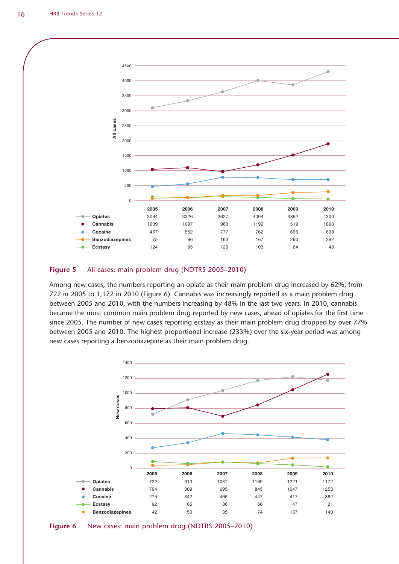![](_page_15_Figure_1.jpeg)

#### **Figure 5** All cases: main problem drug (NDTRS 2005–2010)

Among new cases, the numbers reporting an opiate as their main problem drug increased by 62%, from 722 in 2005 to 1,172 in 2010 (Figure 6). Cannabis was increasingly reported as a main problem drug between 2005 and 2010, with the numbers increasing by 48% in the last two years. In 2010, cannabis became the most common main problem drug reported by new cases, ahead of opiates for the first time since 2005. The number of new cases reporting ecstasy as their main problem drug dropped by over 77% between 2005 and 2010. The highest proportional increase (233%) over the six-year period was among new cases reporting a benzodiazepine as their main problem drug.

![](_page_15_Figure_4.jpeg)

![](_page_15_Figure_5.jpeg)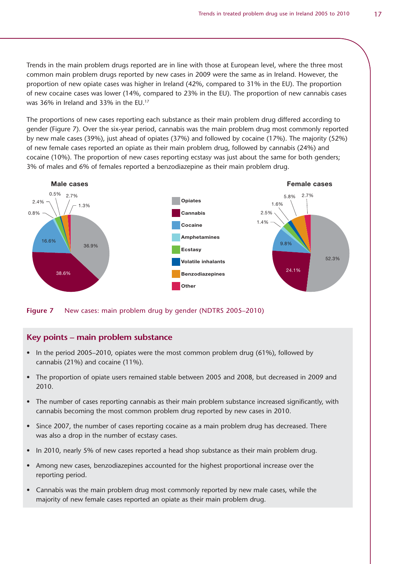Trends in the main problem drugs reported are in line with those at European level, where the three most common main problem drugs reported by new cases in 2009 were the same as in Ireland. However, the proportion of new opiate cases was higher in Ireland (42%, compared to 31% in the EU). The proportion of new cocaine cases was lower (14%, compared to 23% in the EU). The proportion of new cannabis cases was 36% in Ireland and 33% in the EU.17

The proportions of new cases reporting each substance as their main problem drug differed according to gender (Figure 7). Over the six-year period, cannabis was the main problem drug most commonly reported by new male cases (39%), just ahead of opiates (37%) and followed by cocaine (17%). The majority (52%) of new female cases reported an opiate as their main problem drug, followed by cannabis (24%) and cocaine (10%). The proportion of new cases reporting ecstasy was just about the same for both genders; 3% of males and 6% of females reported a benzodiazepine as their main problem drug.

![](_page_16_Figure_3.jpeg)

**Figure 7** New cases: main problem drug by gender (NDTRS 2005–2010)

#### **Key points – main problem substance**

- In the period 2005–2010, opiates were the most common problem drug (61%), followed by cannabis (21%) and cocaine (11%).
- The proportion of opiate users remained stable between 2005 and 2008, but decreased in 2009 and 2010.
- The number of cases reporting cannabis as their main problem substance increased significantly, with cannabis becoming the most common problem drug reported by new cases in 2010.
- Since 2007, the number of cases reporting cocaine as a main problem drug has decreased. There was also a drop in the number of ecstasy cases.
- In 2010, nearly 5% of new cases reported a head shop substance as their main problem drug.
- Among new cases, benzodiazepines accounted for the highest proportional increase over the reporting period.
- Cannabis was the main problem drug most commonly reported by new male cases, while the majority of new female cases reported an opiate as their main problem drug.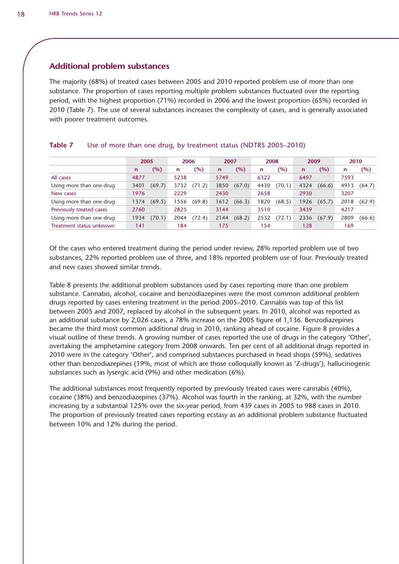#### **Additional problem substances**

The majority (68%) of treated cases between 2005 and 2010 reported problem use of more than one substance. The proportion of cases reporting multiple problem substances fluctuated over the reporting period, with the highest proportion (71%) recorded in 2006 and the lowest proportion (65%) recorded in 2010 (Table 7). The use of several substances increases the complexity of cases, and is generally associated with poorer treatment outcomes.

### **Table 7** Use of more than one drug, by treatment status (NDTRS 2005–2010)

|                          |              | 2005   |      | 2006   | 2007        |        | 2008 |        | 2009        |        | 2010 |        |
|--------------------------|--------------|--------|------|--------|-------------|--------|------|--------|-------------|--------|------|--------|
|                          | $\mathsf{n}$ | (%)    | n    | (%)    | $\mathbf n$ | $(\%)$ | n    | (%)    | $\mathbf n$ | (%)    | n    | (%)    |
| All cases                | 4877         |        | 5238 |        | 5749        |        | 6322 |        | 6497        |        | 7593 |        |
| Using more than one drug | 3401         | (69.7) | 3732 | (71.2) | 3850        | (67.0) | 4430 | (70.1) | 4324        | (66.6) | 4913 | (64.7) |
| New cases                | 1976         |        | 2229 |        | 2430        |        | 2658 |        | 2930        |        | 3207 |        |
| Using more than one drug | 1374         | (69.5) | 1556 | (69.8) | 1612        | (66.3) | 1820 | (68.5) | 1926        | (65.7) | 2018 | (62.9) |
| Previously treated cases | 2760         |        | 2825 |        | 3144        |        | 3510 |        | 3439        |        | 4217 |        |
| Using more than one drug | 1934         | (70.1) | 2044 | (72.4) | 2144        | (68.2) | 2532 | (72.1) | 2336        | (67.9) | 2809 | (66.6) |
| Treatment status unknown | 141          |        | 184  |        | 175         |        | -54  |        | 128         |        | 169  |        |

Of the cases who entered treatment during the period under review, 28% reported problem use of two substances, 22% reported problem use of three, and 18% reported problem use of four. Previously treated and new cases showed similar trends.

Table 8 presents the additional problem substances used by cases reporting more than one problem substance. Cannabis, alcohol, cocaine and benzodiazepines were the most common additional problem drugs reported by cases entering treatment in the period 2005–2010. Cannabis was top of this list between 2005 and 2007, replaced by alcohol in the subsequent years. In 2010, alcohol was reported as an additional substance by 2,026 cases, a 78% increase on the 2005 figure of 1,136. Benzodiazepines became the third most common additional drug in 2010, ranking ahead of cocaine. Figure 8 provides a visual outline of these trends. A growing number of cases reported the use of drugs in the category 'Other', overtaking the amphetamine category from 2008 onwards. Ten per cent of all additional drugs reported in 2010 were in the category 'Other', and comprised substances purchased in head shops (59%), sedatives other than benzodiazepines (19%, most of which are those colloquially known as 'Z-drugs'), hallucinogenic substances such as lysergic acid (9%) and other medication (6%).

The additional substances most frequently reported by previously treated cases were cannabis (40%), cocaine (38%) and benzodiazepines (37%). Alcohol was fourth in the ranking, at 32%, with the number increasing by a substantial 125% over the six-year period, from 439 cases in 2005 to 988 cases in 2010. The proportion of previously treated cases reporting ecstasy as an additional problem substance fluctuated between 10% and 12% during the period.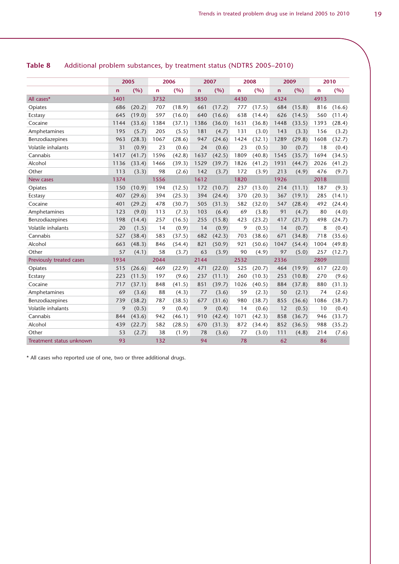|                          |              | 2005   |      | 2006   |              | 2007   |              | 2008   |      | 2009   |              | 2010   |
|--------------------------|--------------|--------|------|--------|--------------|--------|--------------|--------|------|--------|--------------|--------|
|                          | $\mathsf{n}$ | (%)    | n    | (%)    | $\mathsf{n}$ | (%)    | $\mathsf{n}$ | (%)    | 'n   | (%)    | $\mathsf{n}$ | (%)    |
| All cases*               | 3401         |        | 3732 |        | 3850         |        | 4430         |        | 4324 |        | 4913         |        |
| Opiates                  | 686          | (20.2) | 707  | (18.9) | 661          | (17.2) | 777          | (17.5) | 684  | (15.8) | 816          | (16.6) |
| Ecstasy                  | 645          | (19.0) | 597  | (16.0) | 640          | (16.6) | 638          | (14.4) | 626  | (14.5) | 560          | (11.4) |
| Cocaine                  | 1144         | (33.6) | 1384 | (37.1) | 1386         | (36.0) | 1631         | (36.8) | 1448 | (33.5) | 1393         | (28.4) |
| Amphetamines             | 195          | (5.7)  | 205  | (5.5)  | 181          | (4.7)  | 131          | (3.0)  | 143  | (3.3)  | 156          | (3.2)  |
| Benzodiazepines          | 963          | (28.3) | 1067 | (28.6) | 947          | (24.6) | 1424         | (32.1) | 1289 | (29.8) | 1608         | (32.7) |
| Volatile inhalants       | 31           | (0.9)  | 23   | (0.6)  | 24           | (0.6)  | 23           | (0.5)  | 30   | (0.7)  | 18           | (0.4)  |
| Cannabis                 | 1417         | (41.7) | 1596 | (42.8) | 1637         | (42.5) | 1809         | (40.8) | 1545 | (35.7) | 1694         | (34.5) |
| Alcohol                  | 1136         | (33.4) | 1466 | (39.3) | 1529         | (39.7) | 1826         | (41.2) | 1931 | (44.7) | 2026         | (41.2) |
| Other                    | 113          | (3.3)  | 98   | (2.6)  | 142          | (3.7)  | 172          | (3.9)  | 213  | (4.9)  | 476          | (9.7)  |
| New cases                | 1374         |        | 1556 |        | 1612         |        | 1820         |        | 1926 |        | 2018         |        |
| Opiates                  | 150          | (10.9) | 194  | (12.5) | 172          | (10.7) | 237          | (13.0) | 214  | (11.1) | 187          | (9.3)  |
| Ecstasy                  | 407          | (29.6) | 394  | (25.3) | 394          | (24.4) | 370          | (20.3) | 367  | (19.1) | 285          | (14.1) |
| Cocaine                  | 401          | (29.2) | 478  | (30.7) | 505          | (31.3) | 582          | (32.0) | 547  | (28.4) | 492          | (24.4) |
| Amphetamines             | 123          | (9.0)  | 113  | (7.3)  | 103          | (6.4)  | 69           | (3.8)  | 91   | (4.7)  | 80           | (4.0)  |
| Benzodiazepines          | 198          | (14.4) | 257  | (16.5) | 255          | (15.8) | 423          | (23.2) | 417  | (21.7) | 498          | (24.7) |
| Volatile inhalants       | 20           | (1.5)  | 14   | (0.9)  | 14           | (0.9)  | 9            | (0.5)  | 14   | (0.7)  | 8            | (0.4)  |
| Cannabis                 | 527          | (38.4) | 583  | (37.5) | 682          | (42.3) | 703          | (38.6) | 671  | (34.8) | 718          | (35.6) |
| Alcohol                  | 663          | (48.3) | 846  | (54.4) | 821          | (50.9) | 921          | (50.6) | 1047 | (54.4) | 1004         | (49.8) |
| Other                    | 57           | (4.1)  | 58   | (3.7)  | 63           | (3.9)  | 90           | (4.9)  | 97   | (5.0)  | 257          | (12.7) |
| Previously treated cases | 1934         |        | 2044 |        | 2144         |        | 2532         |        | 2336 |        | 2809         |        |
| Opiates                  | 515          | (26.6) | 469  | (22.9) | 471          | (22.0) | 525          | (20.7) | 464  | (19.9) | 617          | (22.0) |
| Ecstasy                  | 223          | (11.5) | 197  | (9.6)  | 237          | (11.1) | 260          | (10.3) | 253  | (10.8) | 270          | (9.6)  |
| Cocaine                  | 717          | (37.1) | 848  | (41.5) | 851          | (39.7) | 1026         | (40.5) | 884  | (37.8) | 880          | (31.3) |
| Amphetamines             | 69           | (3.6)  | 88   | (4.3)  | 77           | (3.6)  | 59           | (2.3)  | 50   | (2.1)  | 74           | (2.6)  |
| Benzodiazepines          | 739          | (38.2) | 787  | (38.5) | 677          | (31.6) | 980          | (38.7) | 855  | (36.6) | 1086         | (38.7) |
| Volatile inhalants       | 9            | (0.5)  | 9    | (0.4)  | 9            | (0.4)  | 14           | (0.6)  | 12   | (0.5)  | 10           | (0.4)  |
| Cannabis                 | 844          | (43.6) | 942  | (46.1) | 910          | (42.4) | 1071         | (42.3) | 858  | (36.7) | 946          | (33.7) |
| Alcohol                  | 439          | (22.7) | 582  | (28.5) | 670          | (31.3) | 872          | (34.4) | 852  | (36.5) | 988          | (35.2) |
| Other                    | 53           | (2.7)  | 38   | (1.9)  | 78           | (3.6)  | 77           | (3.0)  | 111  | (4.8)  | 214          | (7.6)  |
| Treatment status unknown | 93           |        | 132  |        | 94           |        | 78           |        | 62   |        | 86           |        |

### **Table 8** Additional problem substances, by treatment status (NDTRS 2005–2010)

\* All cases who reported use of one, two or three additional drugs.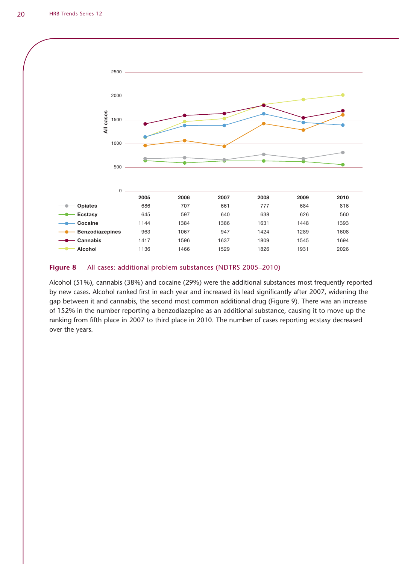![](_page_19_Figure_1.jpeg)

#### **Figure 8** All cases: additional problem substances (NDTRS 2005–2010)

Alcohol (51%), cannabis (38%) and cocaine (29%) were the additional substances most frequently reported by new cases. Alcohol ranked first in each year and increased its lead significantly after 2007, widening the gap between it and cannabis, the second most common additional drug (Figure 9). There was an increase of 152% in the number reporting a benzodiazepine as an additional substance, causing it to move up the ranking from fifth place in 2007 to third place in 2010. The number of cases reporting ecstasy decreased over the years.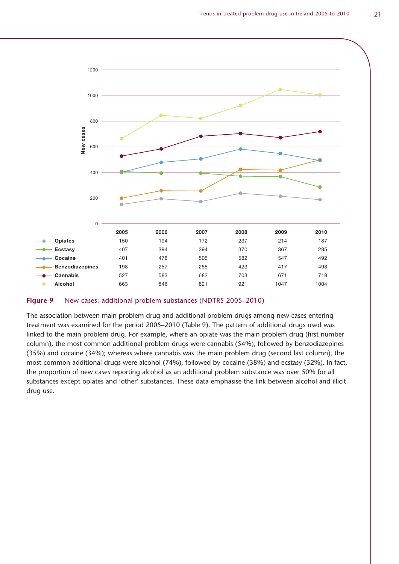![](_page_20_Figure_1.jpeg)

**Figure 9** New cases: additional problem substances (NDTRS 2005–2010)

The association between main problem drug and additional problem drugs among new cases entering treatment was examined for the period 2005–2010 (Table 9). The pattern of additional drugs used was linked to the main problem drug. For example, where an opiate was the main problem drug (first number column), the most common additional problem drugs were cannabis (54%), followed by benzodiazepines (35%) and cocaine (34%); whereas where cannabis was the main problem drug (second last column), the most common additional drugs were alcohol (74%), followed by cocaine (38%) and ecstasy (32%). In fact, the proportion of new cases reporting alcohol as an additional problem substance was over 50% for all substances except opiates and 'other' substances. These data emphasise the link between alcohol and illicit drug use.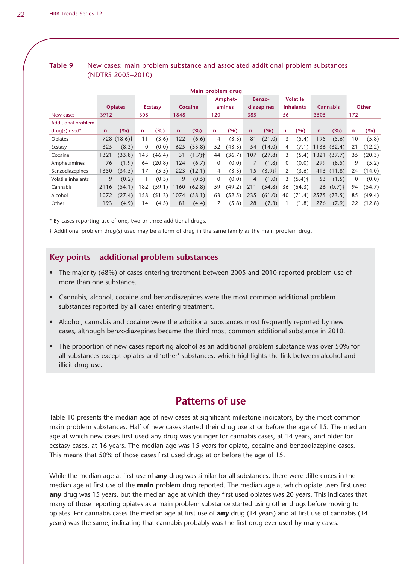| Main problem drug  |             |                         |              |                |             |                      |              |         |              |                      |              |                      |             |                      |                |              |
|--------------------|-------------|-------------------------|--------------|----------------|-------------|----------------------|--------------|---------|--------------|----------------------|--------------|----------------------|-------------|----------------------|----------------|--------------|
|                    |             |                         |              |                |             |                      |              | Amphet- |              | Benzo-               |              | <b>Volatile</b>      |             |                      |                |              |
|                    |             | <b>Opiates</b>          |              | <b>Ecstasy</b> |             | Cocaine              |              | amines  |              | diazepines           |              | <b>inhalants</b>     |             | <b>Cannabis</b>      |                | <b>Other</b> |
| New cases          | 3912        |                         | 308          |                | 1848        |                      | 120          |         | 385          |                      | 56           |                      | 3505        |                      | 172            |              |
| Additional problem |             |                         |              |                |             |                      |              |         |              |                      |              |                      |             |                      |                |              |
| $drug(s)$ used*    | $\mathbf n$ | (%)                     | $\mathsf{n}$ | (%)            | $\mathbf n$ | (%)                  | n.           | (%)     | $\mathsf{n}$ | (%)                  | $\mathsf{n}$ | (%)                  | $\mathbf n$ | (%)                  | n              | (%)          |
| Opiates            |             | 728 (18.6) <sup>†</sup> | 11           | (3.6)          | 122         | (6.6)                | 4            | (3.3)   | 81           | (21.0)               | 3            | (5.4)                | 195         | (5.6)                | 10             | (5.8)        |
| Ecstasy            | 325         | (8.3)                   | $\bf{0}$     | (0.0)          | 625         | (33.8)               | 52           | (43.3)  | 54           | (14.0)               | 4            | (7.1)                | 1136        | (32.4)               | 21             | (12.2)       |
| Cocaine            | 1321        | (33.8)                  | 143          | (46.4)         | 31          | $(1.7)$ <sup>†</sup> | 44           | (36.7)  | 107          | (27.8)               | 3            | (5.4)                | 1321        | (37.7)               | 35             | (20.3)       |
| Amphetamines       | 76          | (1.9)                   | 64           | (20.8)         | 124         | (6.7)                | $\mathbf{0}$ | (0.0)   | 7            | (1.8)                | $\mathbf{0}$ | (0.0)                | 299         | (8.5)                | 9              | (5.2)        |
| Benzodiazepines    | 1350        | (34.5)                  | 17           | (5.5)          | 223         | (12.1)               | 4            | (3.3)   | 15           | $(3.9)$ <sup>†</sup> | 2            | (3.6)                | 413         | (11.8)               | 24             | (14.0)       |
| Volatile inhalants | 9           | (0.2)                   |              | (0.3)          | 9           | (0.5)                | $\mathbf{0}$ | (0.0)   | 4            | (1.0)                | 3            | $(5.4)$ <sup>†</sup> | 53          | (1.5)                | $\overline{0}$ | (0.0)        |
| Cannabis           | 2116        | (54.1)                  | 182          | (59.1)         | 1160        | (62.8)               | 59           | (49.2)  | 211          | (54.8)               | 36           | (64.3)               | 26          | $(0.7)$ <sup>+</sup> | 94             | (54.7)       |
| Alcohol            | 1072        | (27.4)                  | 158          | (51.3)         | 1074        | (58.1)               | 63           | (52.5)  | 235          | (61.0)               | 40           | (71.4)               | 2575        | (73.5)               | 85             | (49.4)       |
| Other              | 193         | (4.9)                   | 14           | (4.5)          | 81          | (4.4)                |              | (5.8)   | 28           | (7.3)                |              | (1.8)                | 276         | (7.9)                | 22             | (12.8)       |

#### **Table 9** New cases: main problem substance and associated additional problem substances (NDTRS 2005–2010)

\* By cases reporting use of one, two or three additional drugs.

† Additional problem drug(s) used may be a form of drug in the same family as the main problem drug.

#### **Key points – additional problem substances**

- The majority (68%) of cases entering treatment between 2005 and 2010 reported problem use of more than one substance.
- Cannabis, alcohol, cocaine and benzodiazepines were the most common additional problem substances reported by all cases entering treatment.
- Alcohol, cannabis and cocaine were the additional substances most frequently reported by new cases, although benzodiazepines became the third most common additional substance in 2010.
- The proportion of new cases reporting alcohol as an additional problem substance was over 50% for all substances except opiates and 'other' substances, which highlights the link between alcohol and illicit drug use.

### **Patterns of use**

Table 10 presents the median age of new cases at significant milestone indicators, by the most common main problem substances. Half of new cases started their drug use at or before the age of 15. The median age at which new cases first used any drug was younger for cannabis cases, at 14 years, and older for ecstasy cases, at 16 years. The median age was 15 years for opiate, cocaine and benzodiazepine cases. This means that 50% of those cases first used drugs at or before the age of 15.

While the median age at first use of **any** drug was similar for all substances, there were differences in the median age at first use of the **main** problem drug reported. The median age at which opiate users first used **any** drug was 15 years, but the median age at which they first used opiates was 20 years. This indicates that many of those reporting opiates as a main problem substance started using other drugs before moving to opiates. For cannabis cases the median age at first use of **any** drug (14 years) and at first use of cannabis (14 years) was the same, indicating that cannabis probably was the first drug ever used by many cases.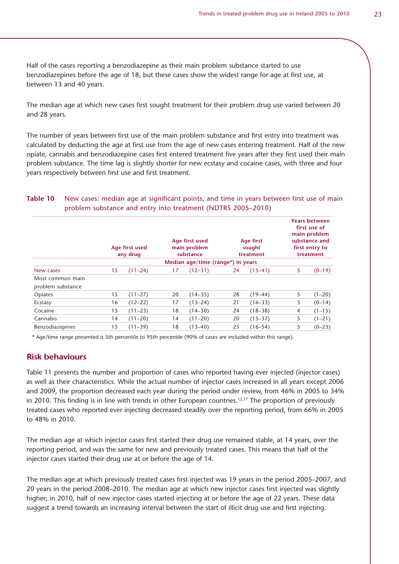Half of the cases reporting a benzodiazepine as their main problem substance started to use benzodiazepines before the age of 18, but these cases show the widest range for age at first use, at between 13 and 40 years.

The median age at which new cases first sought treatment for their problem drug use varied between 20 and 28 years.

The number of years between first use of the main problem substance and first entry into treatment was calculated by deducting the age at first use from the age of new cases entering treatment. Half of the new opiate, cannabis and benzodiazepine cases first entered treatment five years after they first used their main problem substance. The time lag is slightly shorter for new ecstasy and cocaine cases, with three and four years respectively between first use and first treatment.

#### **Table 10** New cases: median age at significant points, and time in years between first use of main problem substance and entry into treatment (NDTRS 2005–2010)

|                                       |    | Age first used<br>any drug |    | Age first used<br>main problem<br>substance |    | Age first<br>sought<br>treatment |   | <b>Years between</b><br>first use of<br>main problem<br>substance and<br>first entry to<br>treatment |
|---------------------------------------|----|----------------------------|----|---------------------------------------------|----|----------------------------------|---|------------------------------------------------------------------------------------------------------|
|                                       |    |                            |    | Median age/time (range*) in years           |    |                                  |   |                                                                                                      |
| New cases                             | 15 | $(11 - 24)$                | 17 | $(12 - 31)$                                 | 24 | $(15-41)$                        | 5 | $(0-19)$                                                                                             |
| Most common main<br>problem substance |    |                            |    |                                             |    |                                  |   |                                                                                                      |
| Opiates                               | 15 | $(11 - 27)$                | 20 | $(14 - 35)$                                 | 28 | $(19-44)$                        | 5 | $(1-20)$                                                                                             |
| Ecstasy                               | 16 | $(12 - 22)$                | 17 | $(13-24)$                                   | 21 | $(16-33)$                        | 3 | $(0-14)$                                                                                             |
| Cocaine                               | 15 | $(11-23)$                  | 18 | $(14-30)$                                   | 24 | $(18 - 38)$                      | 4 | $(1-15)$                                                                                             |
| Cannabis                              | 14 | $(11 - 20)$                | 14 | $(11 - 20)$                                 | 20 | $(15 - 37)$                      | 5 | $(1-21)$                                                                                             |
| Benzodiazepines                       | 15 | $(11 - 39)$                | 18 | $(13 - 40)$                                 | 25 | $(16-54)$                        | 5 | $(0-23)$                                                                                             |

\* Age/time range presented is 5th percentile to 95th percentile (90% of cases are included within this range).

#### **Risk behaviours**

Table 11 presents the number and proportion of cases who reported having ever injected (injector cases) as well as their characteristics. While the actual number of injector cases increased in all years except 2006 and 2009, the proportion decreased each year during the period under review, from 46% in 2005 to 34% in 2010. This finding is in line with trends in other European countries.<sup>12,17</sup> The proportion of previously treated cases who reported ever injecting decreased steadily over the reporting period, from 66% in 2005 to 48% in 2010.

The median age at which injector cases first started their drug use remained stable, at 14 years, over the reporting period, and was the same for new and previously treated cases. This means that half of the injector cases started their drug use at or before the age of 14.

The median age at which previously treated cases first injected was 19 years in the period 2005–2007, and 20 years in the period 2008–2010. The median age at which new injector cases first injected was slightly higher; in 2010, half of new injector cases started injecting at or before the age of 22 years. These data suggest a trend towards an increasing interval between the start of illicit drug use and first injecting.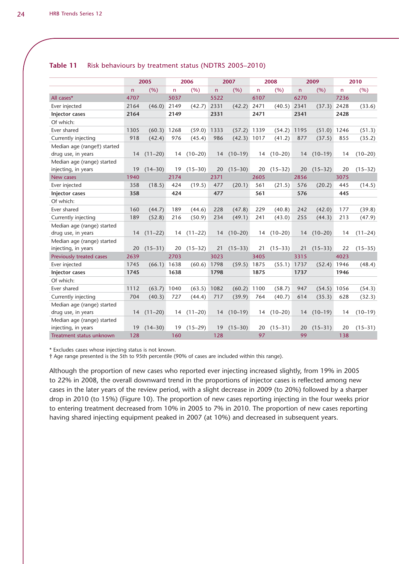|                             |      | 2005        |                | 2006        |      | 2007        |              | 2008        |              | 2009        |      | 2010        |
|-----------------------------|------|-------------|----------------|-------------|------|-------------|--------------|-------------|--------------|-------------|------|-------------|
|                             | n.   | (%)         | $\overline{n}$ | (%)         | n    | (%)         | $\mathsf{n}$ | (%)         | $\mathsf{n}$ | (%)         | n    | (% )        |
| All cases*                  | 4707 |             | 5037           |             | 5522 |             | 6107         |             | 6270         |             | 7236 |             |
| Ever injected               | 2164 | (46.0)      | 2149           | (42.7)      | 2331 | (42.2)      | 2471         | (40.5)      | 2341         | (37.3)      | 2428 | (33.6)      |
| <b>Injector cases</b>       | 2164 |             | 2149           |             | 2331 |             | 2471         |             | 2341         |             | 2428 |             |
| Of which:                   |      |             |                |             |      |             |              |             |              |             |      |             |
| Ever shared                 | 1305 | (60.3)      | 1268           | (59.0)      | 1333 | (57.2)      | 1339         | (54.2)      | 1195         | (51.0)      | 1246 | (51.3)      |
| Currently injecting         | 918  | (42.4)      | 976            | (45.4)      | 986  | (42.3)      | 1017         | (41.2)      | 877          | (37.5)      | 855  | (35.2)      |
| Median age (ranget) started |      |             |                |             |      |             |              |             |              |             |      |             |
| drug use, in years          | 14   | $(11-20)$   | 14             | $(10-20)$   | 14   | $(10-19)$   | 14           | $(10-20)$   | 14           | $(10-19)$   | 14   | $(10-20)$   |
| Median age (range) started  |      |             |                |             |      |             |              |             |              |             |      |             |
| injecting, in years         | 19   | $(14 - 30)$ | 19             | $(15 - 30)$ | 20   | $(15 - 30)$ | 20           | $(15-32)$   | 20           | $(15 - 32)$ | 20   | $(15 - 32)$ |
| New cases                   | 1940 |             | 2174           |             | 2371 |             | 2605         |             | 2856         |             | 3075 |             |
| Ever injected               | 358  | (18.5)      | 424            | (19.5)      | 477  | (20.1)      | 561          | (21.5)      | 576          | (20.2)      | 445  | (14.5)      |
| <b>Injector cases</b>       | 358  |             | 424            |             | 477  |             | 561          |             | 576          |             | 445  |             |
| Of which:                   |      |             |                |             |      |             |              |             |              |             |      |             |
| Ever shared                 | 160  | (44.7)      | 189            | (44.6)      | 228  | (47.8)      | 229          | (40.8)      | 242          | (42.0)      | 177  | (39.8)      |
| Currently injecting         | 189  | (52.8)      | 216            | (50.9)      | 234  | (49.1)      | 241          | (43.0)      | 255          | (44.3)      | 213  | (47.9)      |
| Median age (range) started  |      |             |                |             |      |             |              |             |              |             |      |             |
| drug use, in years          | 14   | $(11-22)$   | 14             | $(11-22)$   | 14   | $(10-20)$   | 14           | $(10-20)$   | 14           | $(10-20)$   | 14   | $(11-24)$   |
| Median age (range) started  |      |             |                |             |      |             |              |             |              |             |      |             |
| injecting, in years         | 20   | $(15-31)$   | 20             | $(15 - 32)$ | 21   | $(15-33)$   | 21           | $(15 - 33)$ | 21           | $(15 - 33)$ | 22   | $(15 - 35)$ |
| Previously treated cases    | 2639 |             | 2703           |             | 3023 |             | 3405         |             | 3315         |             | 4023 |             |
| Ever injected               | 1745 | (66.1)      | 1638           | (60.6)      | 1798 | (59.5)      | 1875         | (55.1)      | 1737         | (52.4)      | 1946 | (48.4)      |
| Injector cases              | 1745 |             | 1638           |             | 1798 |             | 1875         |             | 1737         |             | 1946 |             |
| Of which:                   |      |             |                |             |      |             |              |             |              |             |      |             |
| Ever shared                 | 1112 | (63.7)      | 1040           | (63.5)      | 1082 | (60.2)      | 1100         | (58.7)      | 947          | (54.5)      | 1056 | (54.3)      |
| Currently injecting         | 704  | (40.3)      | 727            | (44.4)      | 717  | (39.9)      | 764          | (40.7)      | 614          | (35.3)      | 628  | (32.3)      |
| Median age (range) started  |      |             |                |             |      |             |              |             |              |             |      |             |
| drug use, in years          | 14   | $(11-20)$   | 14             | $(11-20)$   | 14   | $(10-19)$   | 14           | $(10-20)$   | 14           | $(10-19)$   | 14   | $(10-19)$   |
| Median age (range) started  |      |             |                |             |      |             |              |             |              |             |      |             |
| injecting, in years         | 19   | $(14 - 30)$ | 19             | $(15-29)$   | 19   | $(15 - 30)$ | 20           | $(15-31)$   | 20           | $(15 - 31)$ | 20   | $(15 - 31)$ |
| Treatment status unknown    | 128  |             | 160            |             | 128  |             | 97           |             | 99           |             | 138  |             |

#### **Table 11** Risk behaviours by treatment status (NDTRS 2005–2010)

\* Excludes cases whose injecting status is not known.

† Age range presented is the 5th to 95th percentile (90% of cases are included within this range).

Although the proportion of new cases who reported ever injecting increased slightly, from 19% in 2005 to 22% in 2008, the overall downward trend in the proportions of injector cases is reflected among new cases in the later years of the review period, with a slight decrease in 2009 (to 20%) followed by a sharper drop in 2010 (to 15%) (Figure 10). The proportion of new cases reporting injecting in the four weeks prior to entering treatment decreased from 10% in 2005 to 7% in 2010. The proportion of new cases reporting having shared injecting equipment peaked in 2007 (at 10%) and decreased in subsequent years.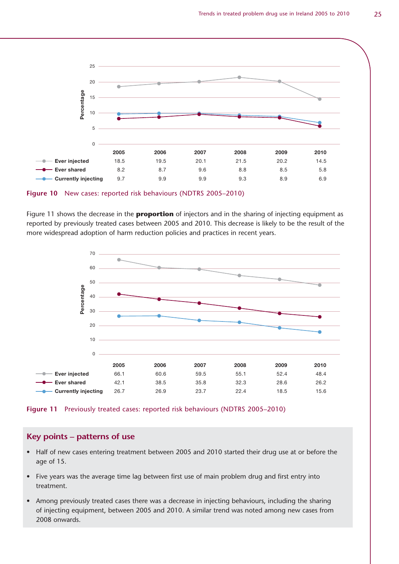![](_page_24_Figure_1.jpeg)

**Figure 10** New cases: reported risk behaviours (NDTRS 2005–2010)

Figure 11 shows the decrease in the **proportion** of injectors and in the sharing of injecting equipment as reported by previously treated cases between 2005 and 2010. This decrease is likely to be the result of the more widespread adoption of harm reduction policies and practices in recent years.

![](_page_24_Figure_4.jpeg)

![](_page_24_Figure_5.jpeg)

#### **Key points – patterns of use**

- Half of new cases entering treatment between 2005 and 2010 started their drug use at or before the age of 15.
- Five years was the average time lag between first use of main problem drug and first entry into treatment.
- Among previously treated cases there was a decrease in injecting behaviours, including the sharing of injecting equipment, between 2005 and 2010. A similar trend was noted among new cases from 2008 onwards.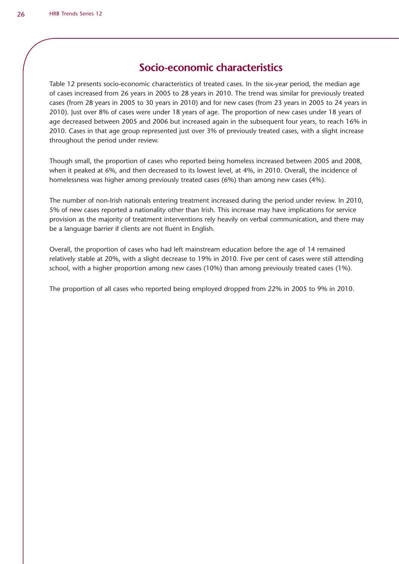# **Socio-economic characteristics**

Table 12 presents socio-economic characteristics of treated cases. In the six-year period, the median age of cases increased from 26 years in 2005 to 28 years in 2010. The trend was similar for previously treated cases (from 28 years in 2005 to 30 years in 2010) and for new cases (from 23 years in 2005 to 24 years in 2010). Just over 8% of cases were under 18 years of age. The proportion of new cases under 18 years of age decreased between 2005 and 2006 but increased again in the subsequent four years, to reach 16% in 2010. Cases in that age group represented just over 3% of previously treated cases, with a slight increase throughout the period under review.

Though small, the proportion of cases who reported being homeless increased between 2005 and 2008, when it peaked at 6%, and then decreased to its lowest level, at 4%, in 2010. Overall, the incidence of homelessness was higher among previously treated cases (6%) than among new cases (4%).

The number of non-Irish nationals entering treatment increased during the period under review. In 2010, 5% of new cases reported a nationality other than Irish. This increase may have implications for service provision as the majority of treatment interventions rely heavily on verbal communication, and there may be a language barrier if clients are not fluent in English.

Overall, the proportion of cases who had left mainstream education before the age of 14 remained relatively stable at 20%, with a slight decrease to 19% in 2010. Five per cent of cases were still attending school, with a higher proportion among new cases (10%) than among previously treated cases (1%).

The proportion of all cases who reported being employed dropped from 22% in 2005 to 9% in 2010.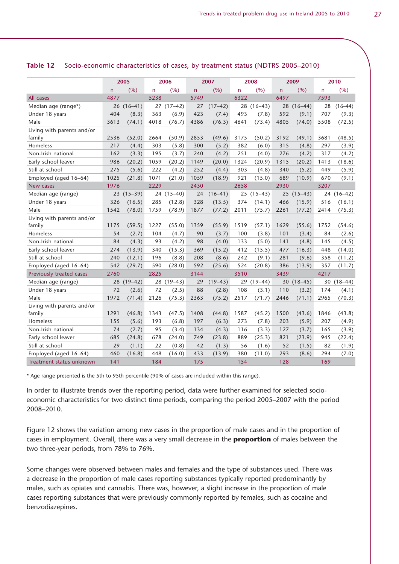|                            |      | 2005        |      | 2006       |      | 2007      |      | 2008      |              | 2009        |      | 2010      |
|----------------------------|------|-------------|------|------------|------|-----------|------|-----------|--------------|-------------|------|-----------|
|                            | n    | (%)         | n    | (%)        | n    | (%)       | n.   | (%)       | $\mathsf{n}$ | (%)         | n    | (%)       |
| All cases                  | 4877 |             | 5238 |            | 5749 |           | 6322 |           | 6497         |             | 7593 |           |
| Median age (range*)        | 26   | $(16-41)$   | 27   | $(17-42)$  | 27   | $(17-42)$ | 28   | $(16-43)$ | 28           | $(16-44)$   | 28   | $(16-44)$ |
| Under 18 years             | 404  | (8.3)       | 363  | (6.9)      | 423  | (7.4)     | 493  | (7.8)     | 592          | (9.1)       | 707  | (9.3)     |
| Male                       | 3613 | (74.1)      | 4018 | (76.7)     | 4386 | (76.3)    | 4641 | (73.4)    | 4805         | (74.0)      | 5508 | (72.5)    |
| Living with parents and/or |      |             |      |            |      |           |      |           |              |             |      |           |
| family                     | 2536 | (52.0)      | 2664 | (50.9)     | 2853 | (49.6)    | 3175 | (50.2)    | 3192         | (49.1)      | 3681 | (48.5)    |
| Homeless                   | 217  | (4.4)       | 303  | (5.8)      | 300  | (5.2)     | 382  | (6.0)     | 315          | (4.8)       | 297  | (3.9)     |
| Non-Irish national         | 162  | (3.3)       | 195  | (3.7)      | 240  | (4.2)     | 251  | (4.0)     | 276          | (4.2)       | 317  | (4.2)     |
| Early school leaver        | 986  | (20.2)      | 1059 | (20.2)     | 1149 | (20.0)    | 1324 | (20.9)    | 1315         | (20.2)      | 1413 | (18.6)    |
| Still at school            | 275  | (5.6)       | 222  | (4.2)      | 252  | (4.4)     | 303  | (4.8)     | 340          | (5.2)       | 449  | (5.9)     |
| Employed (aged 16-64)      | 1025 | (21.8)      | 1071 | (21.0)     | 1059 | (18.9)    | 921  | (15.0)    | 689          | (10.9)      | 670  | (9.1)     |
| New cases                  | 1976 |             | 2229 |            | 2430 |           | 2658 |           | 2930         |             | 3207 |           |
| Median age (range)         | 23   | $(15 - 39)$ |      | 24 (15-40) | 24   | $(16-41)$ | 25   | $(15-43)$ | 25           | $(15-43)$   | 24   | $(16-42)$ |
| Under 18 years             | 326  | (16.5)      | 285  | (12.8)     | 328  | (13.5)    | 374  | (14.1)    | 466          | (15.9)      | 516  | (16.1)    |
| Male                       | 1542 | (78.0)      | 1759 | (78.9)     | 1877 | (77.2)    | 2011 | (75.7)    | 2261         | (77.2)      | 2414 | (75.3)    |
| Living with parents and/or |      |             |      |            |      |           |      |           |              |             |      |           |
| family                     | 1175 | (59.5)      | 1227 | (55.0)     | 1359 | (55.9)    | 1519 | (57.1)    | 1629         | (55.6)      | 1752 | (54.6)    |
| Homeless                   | 54   | (2.7)       | 104  | (4.7)      | 90   | (3.7)     | 100  | (3.8)     | 101          | (3.4)       | 84   | (2.6)     |
| Non-Irish national         | 84   | (4.3)       | 93   | (4.2)      | 98   | (4.0)     | 133  | (5.0)     | 141          | (4.8)       | 145  | (4.5)     |
| Early school leaver        | 274  | (13.9)      | 340  | (15.3)     | 369  | (15.2)    | 412  | (15.5)    | 477          | (16.3)      | 448  | (14.0)    |
| Still at school            | 240  | (12.1)      | 196  | (8.8)      | 208  | (8.6)     | 242  | (9.1)     | 281          | (9.6)       | 358  | (11.2)    |
| Employed (aged 16-64)      | 542  | (29.7)      | 590  | (28.0)     | 592  | (25.6)    | 524  | (20.8)    | 386          | (13.9)      | 357  | (11.7)    |
| Previously treated cases   | 2760 |             | 2825 |            | 3144 |           | 3510 |           | 3439         |             | 4217 |           |
| Median age (range)         | 28   | $(19-42)$   | 28   | $(19-43)$  | 29   | $(19-43)$ | 29   | $(19-44)$ | 30           | $(18 - 45)$ | 30   | $(18-44)$ |
| Under 18 years             | 72   | (2.6)       | 72   | (2.5)      | 88   | (2.8)     | 108  | (3.1)     | 110          | (3.2)       | 174  | (4.1)     |
| Male                       | 1972 | (71.4)      | 2126 | (75.3)     | 2363 | (75.2)    | 2517 | (71.7)    | 2446         | (71.1)      | 2965 | (70.3)    |
| Living with parents and/or |      |             |      |            |      |           |      |           |              |             |      |           |
| family                     | 1291 | (46.8)      | 1343 | (47.5)     | 1408 | (44.8)    | 1587 | (45.2)    | 1500         | (43.6)      | 1846 | (43.8)    |
| Homeless                   | 155  | (5.6)       | 193  | (6.8)      | 197  | (6.3)     | 273  | (7.8)     | 203          | (5.9)       | 207  | (4.9)     |
| Non-Irish national         | 74   | (2.7)       | 95   | (3.4)      | 134  | (4.3)     | 116  | (3.3)     | 127          | (3.7)       | 165  | (3.9)     |
| Early school leaver        | 685  | (24.8)      | 678  | (24.0)     | 749  | (23.8)    | 889  | (25.3)    | 821          | (23.9)      | 945  | (22.4)    |
| Still at school            | 29   | (1.1)       | 22   | (0.8)      | 42   | (1.3)     | 56   | (1.6)     | 52           | (1.5)       | 82   | (1.9)     |
| Employed (aged 16-64)      | 460  | (16.8)      | 448  | (16.0)     | 433  | (13.9)    | 380  | (11.0)    | 293          | (8.6)       | 294  | (7.0)     |
| Treatment status unknown   | 141  |             | 184  |            | 175  |           | 154  |           | 128          |             | 169  |           |

#### **Table 12** Socio-economic characteristics of cases, by treatment status (NDTRS 2005–2010)

\* Age range presented is the 5th to 95th percentile (90% of cases are included within this range).

In order to illustrate trends over the reporting period, data were further examined for selected socioeconomic characteristics for two distinct time periods, comparing the period 2005–2007 with the period 2008–2010.

Figure 12 shows the variation among new cases in the proportion of male cases and in the proportion of cases in employment. Overall, there was a very small decrease in the **proportion** of males between the two three-year periods, from 78% to 76%.

Some changes were observed between males and females and the type of substances used. There was a decrease in the proportion of male cases reporting substances typically reported predominantly by males, such as opiates and cannabis. There was, however, a slight increase in the proportion of male cases reporting substances that were previously commonly reported by females, such as cocaine and benzodiazepines.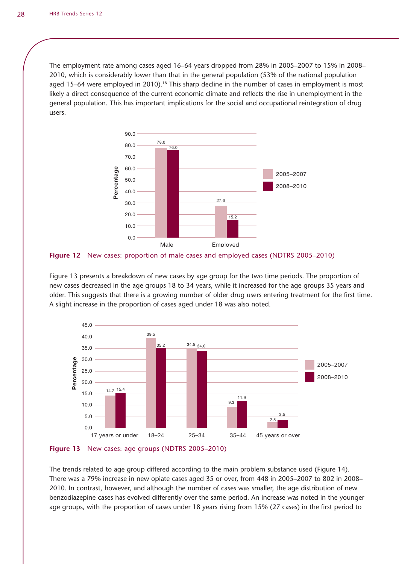The employment rate among cases aged 16–64 years dropped from 28% in 2005–2007 to 15% in 2008– 2010, which is considerably lower than that in the general population (53% of the national population aged 15–64 were employed in 2010).<sup>18</sup> This sharp decline in the number of cases in employment is most likely a direct consequence of the current economic climate and reflects the rise in unemployment in the general population. This has important implications for the social and occupational reintegration of drug users.

![](_page_27_Figure_2.jpeg)

![](_page_27_Figure_3.jpeg)

Figure 13 presents a breakdown of new cases by age group for the two time periods. The proportion of new cases decreased in the age groups 18 to 34 years, while it increased for the age groups 35 years and older. This suggests that there is a growing number of older drug users entering treatment for the first time. A slight increase in the proportion of cases aged under 18 was also noted.

![](_page_27_Figure_5.jpeg)

![](_page_27_Figure_6.jpeg)

The trends related to age group differed according to the main problem substance used (Figure 14). There was a 79% increase in new opiate cases aged 35 or over, from 448 in 2005–2007 to 802 in 2008– 2010. In contrast, however, and although the number of cases was smaller, the age distribution of new benzodiazepine cases has evolved differently over the same period. An increase was noted in the younger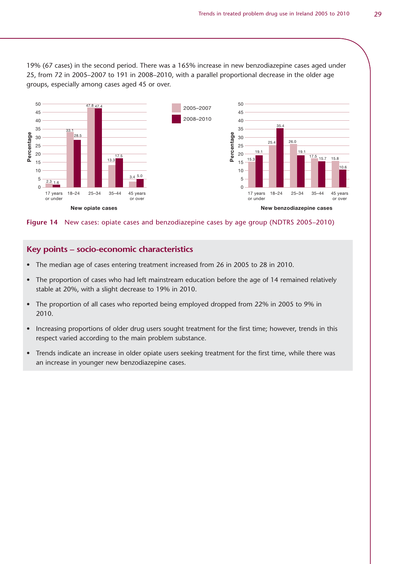19% (67 cases) in the second period. There was a 165% increase in new benzodiazepine cases aged under 25, from 72 in 2005–2007 to 191 in 2008–2010, with a parallel proportional decrease in the older age groups, especially among cases aged 45 or over.

![](_page_28_Figure_2.jpeg)

**Figure 14** New cases: opiate cases and benzodiazepine cases by age group (NDTRS 2005–2010)

#### **Key points – socio-economic characteristics**

- The median age of cases entering treatment increased from 26 in 2005 to 28 in 2010.
- The proportion of cases who had left mainstream education before the age of 14 remained relatively stable at 20%, with a slight decrease to 19% in 2010.
- The proportion of all cases who reported being employed dropped from 22% in 2005 to 9% in 2010.
- Increasing proportions of older drug users sought treatment for the first time; however, trends in this respect varied according to the main problem substance.
- Trends indicate an increase in older opiate users seeking treatment for the first time, while there was an increase in younger new benzodiazepine cases.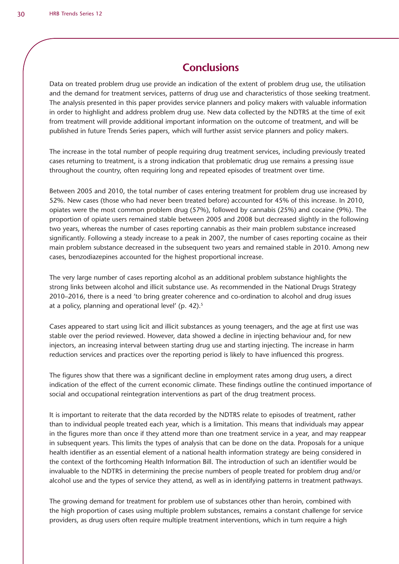# **Conclusions**

Data on treated problem drug use provide an indication of the extent of problem drug use, the utilisation and the demand for treatment services, patterns of drug use and characteristics of those seeking treatment. The analysis presented in this paper provides service planners and policy makers with valuable information in order to highlight and address problem drug use. New data collected by the NDTRS at the time of exit from treatment will provide additional important information on the outcome of treatment, and will be published in future Trends Series papers, which will further assist service planners and policy makers.

The increase in the total number of people requiring drug treatment services, including previously treated cases returning to treatment, is a strong indication that problematic drug use remains a pressing issue throughout the country, often requiring long and repeated episodes of treatment over time.

Between 2005 and 2010, the total number of cases entering treatment for problem drug use increased by 52%. New cases (those who had never been treated before) accounted for 45% of this increase. In 2010, opiates were the most common problem drug (57%), followed by cannabis (25%) and cocaine (9%). The proportion of opiate users remained stable between 2005 and 2008 but decreased slightly in the following two years, whereas the number of cases reporting cannabis as their main problem substance increased significantly. Following a steady increase to a peak in 2007, the number of cases reporting cocaine as their main problem substance decreased in the subsequent two years and remained stable in 2010. Among new cases, benzodiazepines accounted for the highest proportional increase.

The very large number of cases reporting alcohol as an additional problem substance highlights the strong links between alcohol and illicit substance use. As recommended in the National Drugs Strategy 2010–2016, there is a need 'to bring greater coherence and co-ordination to alcohol and drug issues at a policy, planning and operational level' (p. 42).<sup>5</sup>

Cases appeared to start using licit and illicit substances as young teenagers, and the age at first use was stable over the period reviewed. However, data showed a decline in injecting behaviour and, for new injectors, an increasing interval between starting drug use and starting injecting. The increase in harm reduction services and practices over the reporting period is likely to have influenced this progress.

The figures show that there was a significant decline in employment rates among drug users, a direct indication of the effect of the current economic climate. These findings outline the continued importance of social and occupational reintegration interventions as part of the drug treatment process.

It is important to reiterate that the data recorded by the NDTRS relate to episodes of treatment, rather than to individual people treated each year, which is a limitation. This means that individuals may appear in the figures more than once if they attend more than one treatment service in a year, and may reappear in subsequent years. This limits the types of analysis that can be done on the data. Proposals for a unique health identifier as an essential element of a national health information strategy are being considered in the context of the forthcoming Health Information Bill. The introduction of such an identifier would be invaluable to the NDTRS in determining the precise numbers of people treated for problem drug and/or alcohol use and the types of service they attend, as well as in identifying patterns in treatment pathways.

The growing demand for treatment for problem use of substances other than heroin, combined with the high proportion of cases using multiple problem substances, remains a constant challenge for service providers, as drug users often require multiple treatment interventions, which in turn require a high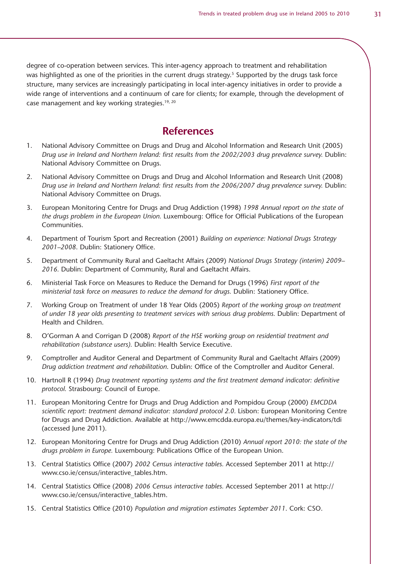degree of co-operation between services. This inter-agency approach to treatment and rehabilitation was highlighted as one of the priorities in the current drugs strategy.<sup>5</sup> Supported by the drugs task force structure, many services are increasingly participating in local inter-agency initiatives in order to provide a wide range of interventions and a continuum of care for clients; for example, through the development of case management and key working strategies.<sup>19, 20</sup>

### **References**

- 1. National Advisory Committee on Drugs and Drug and Alcohol Information and Research Unit (2005) *Drug use in Ireland and Northern Ireland: first results from the 2002/2003 drug prevalence survey.* Dublin: National Advisory Committee on Drugs.
- 2. National Advisory Committee on Drugs and Drug and Alcohol Information and Research Unit (2008) *Drug use in Ireland and Northern Ireland: first results from the 2006/2007 drug prevalence survey.* Dublin: National Advisory Committee on Drugs.
- 3. European Monitoring Centre for Drugs and Drug Addiction (1998) *1998 Annual report on the state of the drugs problem in the European Union.* Luxembourg: Office for Official Publications of the European Communities.
- 4. Department of Tourism Sport and Recreation (2001) *Building on experience: National Drugs Strategy 2001–2008*. Dublin: Stationery Office.
- 5. Department of Community Rural and Gaeltacht Affairs (2009) *National Drugs Strategy (interim) 2009– 2016.* Dublin: Department of Community, Rural and Gaeltacht Affairs.
- 6. Ministerial Task Force on Measures to Reduce the Demand for Drugs (1996) *First report of the ministerial task force on measures to reduce the demand for drugs. Dublin: Stationery Office.*
- 7. Working Group on Treatment of under 18 Year Olds (2005) *Report of the working group on treatment of under 18 year olds presenting to treatment services with serious drug problems.* Dublin: Department of Health and Children.
- 8. O'Gorman A and Corrigan D (2008) *Report of the HSE working group on residential treatment and rehabilitation (substance users).* Dublin: Health Service Executive.
- 9. Comptroller and Auditor General and Department of Community Rural and Gaeltacht Affairs (2009) *Drug addiction treatment and rehabilitation*. Dublin: Office of the Comptroller and Auditor General.
- 10. Hartnoll R (1994) *Drug treatment reporting systems and the first treatment demand indicator: definitive protocol.* Strasbourg: Council of Europe.
- 11. European Monitoring Centre for Drugs and Drug Addiction and Pompidou Group (2000) *EMCDDA*  scientific report: treatment demand indicator: standard protocol 2.0. Lisbon: European Monitoring Centre for Drugs and Drug Addiction. Available at http://www.emcdda.europa.eu/themes/key-indicators/tdi (accessed June 2011).
- 12. European Monitoring Centre for Drugs and Drug Addiction (2010) *Annual report 2010: the state of the drugs problem in Europe.* Luxembourg: Publications Office of the European Union.
- 13. Central Statistics Office (2007) *2002 Census interactive tables.* Accessed September 2011 at http:// www.cso.ie/census/interactive\_tables.htm.
- 14. Central Statistics Office (2008) *2006 Census interactive tables.* Accessed September 2011 at http:// www.cso.ie/census/interactive\_tables.htm.
- 15. Central Statistics Office (2010) *Population and migration estimates September 2011*. Cork: CSO.